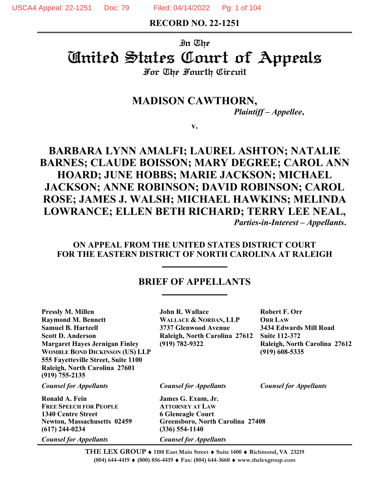**RECORD NO. 22-1251**

# In The United States Court of Appeals

## For The Fourth Circuit

## **MADISON CAWTHORN,**

*Plaintiff – Appellee***,**

**v.**

## **BARBARA LYNN AMALFI; LAUREL ASHTON; NATALIE BARNES; CLAUDE BOISSON; MARY DEGREE; CAROL ANN HOARD; JUNE HOBBS; MARIE JACKSON; MICHAEL JACKSON; ANNE ROBINSON; DAVID ROBINSON; CAROL ROSE; JAMES J. WALSH; MICHAEL HAWKINS; MELINDA LOWRANCE; ELLEN BETH RICHARD; TERRY LEE NEAL,** *Parties-in-Interest – Appellants***.**

## **ON APPEAL FROM THE UNITED STATES DISTRICT COURT FOR THE EASTERN DISTRICT OF NORTH CAROLINA AT RALEIGH**

## **BRIEF OF APPELLANTS**

**Pressly M. Millen John R. Wallace Robert F. Orr Raymond M. Bennett WALLACE & NORDAN, LLP ORR LAW Samuel B. Hartzell 3737 Glenwood Avenue 3434 Edwards Mill Road Scott D. Anderson Raleigh, North Carolina 27612 Suite 112-372 Margaret Hayes Jernigan Finley (919) 782-9322 Raleigh, North Carolina 27612 WOMBLE BOND DICKINSON (US) LLP (919) 608-5335 555 Fayetteville Street, Suite 1100 Raleigh, North Carolina 27601 (919) 755-2135**

**Ronald A. Fein James G. Exum, Jr. FREE SPEECH FOR PEOPLE ATTORNEY AT LAW 1340 Centre Street 6 Gleneagle Court (617) 244-0234 (336) 554-1140**

**Newton, Massachusetts 02459 Greensboro, North Carolina 27408**

*Counsel for Appellants Counsel for Appellants Counsel for Appellants*

**THE LEX GROUP 1108 East Main Street Suite 1400 Richmond, VA 23219** *Counsel for Appellants Counsel for Appellants*

**(804) 644-4419 (800) 856-4419 Fax: (804) 644-3660 www.thelexgroup.com**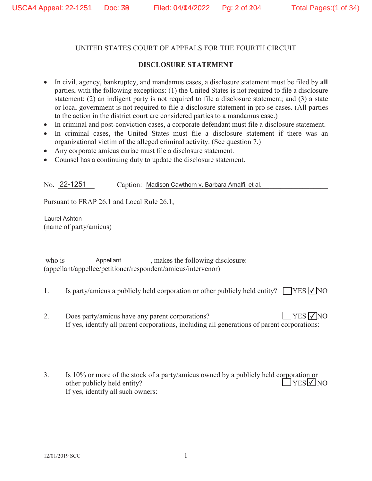#### **DISCLOSURE STATEMENT**

- In civil, agency, bankruptcy, and mandamus cases, a disclosure statement must be filed by all parties, with the following exceptions: (1) the United States is not required to file a disclosure statement; (2) an indigent party is not required to file a disclosure statement; and (3) a state or local government is not required to file a disclosure statement in pro se cases. (All parties to the action in the district court are considered parties to a mandamus case.)
- In criminal and post-conviction cases, a corporate defendant must file a disclosure statement.
- In criminal cases, the United States must file a disclosure statement if there was an organizational victim of the alleged criminal activity. (See question 7.)
- Any corporate amicus curiae must file a disclosure statement.
- Counsel has a continuing duty to update the disclosure statement.

No. 22-1251 Caption: Madison Cawthorn v. Barbara Amalfi, et al.

Pursuant to FRAP 26.1 and Local Rule 26.1,

Laurel Ashton and the set of the set of the set of the set of the set of the set of the set of the set of the set of the set of the set of the set of the set of the set of the set of the set of the set of the set of the se (name of party/amicus)

- 1. Is party/amicus a publicly held corporation or other publicly held entity?  $\Box$  YES  $\Box$  NO
- 2. Does party/amicus have any parent corporations? If yes, identify all parent corporations, including all generations of parent corporations:  $\Box$ YES  $\nabla$ NO
- 3. Is 10% or more of the stock of a party/amicus owned by a publicly held corporation or other publicly held entity? If yes, identify all such owners:  $\exists$ YES $\neg$ NO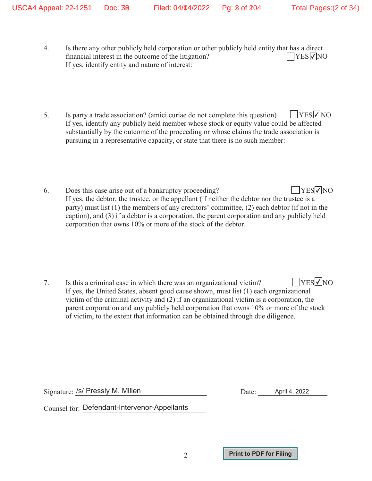- 4. Is there any other publicly held corporation or other publicly held entity that has a direct financial interest in the outcome of the litigation? If yes, identify entity and nature of interest:  $\Box$ YES $\nabla$ NO
- 5. Is party a trade association? (amici curiae do not complete this question) If yes, identify any publicly held member whose stock or equity value could be affected substantially by the outcome of the proceeding or whose claims the trade association is pursuing in a representative capacity, or state that there is no such member:  $\Box$ YES $\nabla$ NO
- 6. Does this case arise out of a bankruptcy proceeding? If yes, the debtor, the trustee, or the appellant (if neither the debtor nor the trustee is a party) must list (1) the members of any creditors' committee, (2) each debtor (if not in the caption), and (3) if a debtor is a corporation, the parent corporation and any publicly held corporation that owns 10% or more of the stock of the debtor.  $YESVNO$

-2-

Signature: /s/ Pressly M. Millen **Acceleration** Date: April 4, 2022

 $\rm{Counsel}$  for:  $\rm{Defendant\text{-}Intervenor\text{-}Appellants}$ 

**Print to PDF for Filing**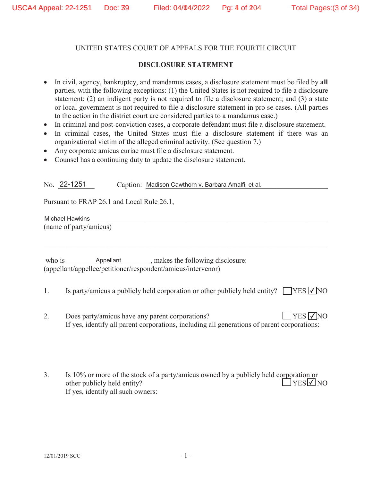## **DISCLOSURE STATEMENT**

- x In civil, agency, bankruptcy, and mandamus cases, a disclosure statement must be filed by **all** parties, with the following exceptions: (1) the United States is not required to file a disclosure statement; (2) an indigent party is not required to file a disclosure statement; and (3) a state or local government is not required to file a disclosure statement in pro se cases. (All parties to the action in the district court are considered parties to a mandamus case.)
- In criminal and post-conviction cases, a corporate defendant must file a disclosure statement.
- In criminal cases, the United States must file a disclosure statement if there was an organizational victim of the alleged criminal activity. (See question 7.)
- Any corporate amicus curiae must file a disclosure statement.
- Counsel has a continuing duty to update the disclosure statement.

No. 22-1251 Caption: Madison Cawthorn v. Barbara Amalfi, et al.

Pursuant to FRAP 26.1 and Local Rule 26.1,

Michael Hawkins **Michael Hawkins** (name of party/amicus)

| who is | Appellant                                                    | , makes the following disclosure: |
|--------|--------------------------------------------------------------|-----------------------------------|
|        | (appellant/appellee/petitioner/respondent/amicus/intervenor) |                                   |

- 1. Is party/amicus a publicly held corporation or other publicly held entity?  $\Box$  YES  $\Box$  NO
- 2. Does party/amicus have any parent corporations? If yes, identify all parent corporations, including all generations of parent corporations:  $\Box$ YES  $\nabla$ NO
- 3. Is 10% or more of the stock of a party/amicus owned by a publicly held corporation or other publicly held entity? If yes, identify all such owners:  $\exists$ YES $\neg$ NO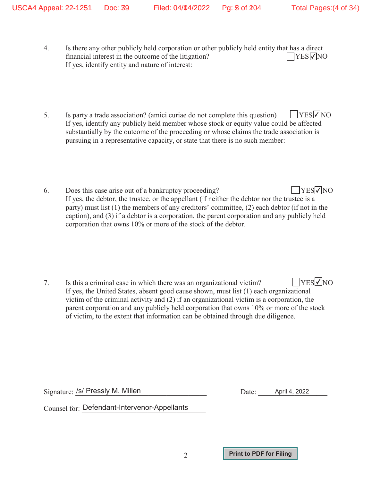- 4. Is there any other publicly held corporation or other publicly held entity that has a direct financial interest in the outcome of the litigation? If yes, identify entity and nature of interest:  $\Box$ YES $\nabla$ NO
- 5. Is party a trade association? (amici curiae do not complete this question) If yes, identify any publicly held member whose stock or equity value could be affected substantially by the outcome of the proceeding or whose claims the trade association is pursuing in a representative capacity, or state that there is no such member:  $\Box$ YES $\nabla$ NO
- 6. Does this case arise out of a bankruptcy proceeding? If yes, the debtor, the trustee, or the appellant (if neither the debtor nor the trustee is a party) must list (1) the members of any creditors' committee, (2) each debtor (if not in the caption), and (3) if a debtor is a corporation, the parent corporation and any publicly held corporation that owns 10% or more of the stock of the debtor.  $YESVNO$

-2-

Signature: /s/ Pressly M. Millen **Acceleration** Date: April 4, 2022

 $\rm{Counsel}$  for:  $\rm{Defendant\text{-}Intervenor\text{-}Appellants}$ 

**Print to PDF for Filing**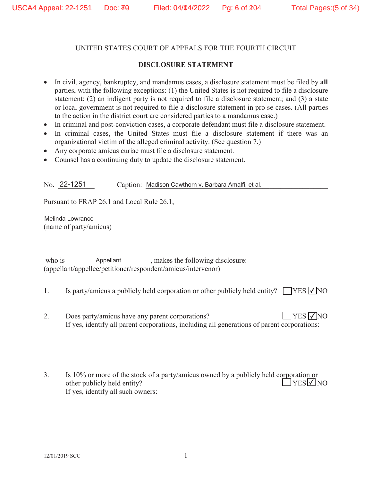## **DISCLOSURE STATEMENT**

- x In civil, agency, bankruptcy, and mandamus cases, a disclosure statement must be filed by **all** parties, with the following exceptions: (1) the United States is not required to file a disclosure statement; (2) an indigent party is not required to file a disclosure statement; and (3) a state or local government is not required to file a disclosure statement in pro se cases. (All parties to the action in the district court are considered parties to a mandamus case.)
- In criminal and post-conviction cases, a corporate defendant must file a disclosure statement.
- In criminal cases, the United States must file a disclosure statement if there was an organizational victim of the alleged criminal activity. (See question 7.)
- Any corporate amicus curiae must file a disclosure statement.
- Counsel has a continuing duty to update the disclosure statement.

No. 22-1251 Caption: Madison Cawthorn v. Barbara Amalfi, et al.

Pursuant to FRAP 26.1 and Local Rule 26.1,

Melinda Lowrance and the set of the set of the set of the set of the set of the set of the set of the set of the set of the set of the set of the set of the set of the set of the set of the set of the set of the set of the (name of party/amicus)

- 1. Is party/amicus a publicly held corporation or other publicly held entity?  $\Box$  YES  $\Box$  NO
- 2. Does party/amicus have any parent corporations? If yes, identify all parent corporations, including all generations of parent corporations:  $\Box$ YES  $\nabla$ NO
- 3. Is 10% or more of the stock of a party/amicus owned by a publicly held corporation or other publicly held entity? If yes, identify all such owners:  $YES$  NO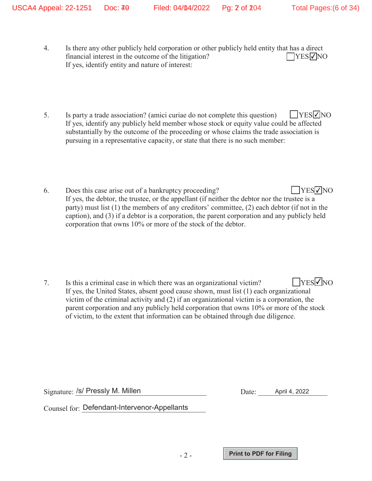- 4. Is there any other publicly held corporation or other publicly held entity that has a direct financial interest in the outcome of the litigation? If yes, identify entity and nature of interest:  $\Box$ YES $\nabla$ NO
- 5. Is party a trade association? (amici curiae do not complete this question) If yes, identify any publicly held member whose stock or equity value could be affected substantially by the outcome of the proceeding or whose claims the trade association is pursuing in a representative capacity, or state that there is no such member:  $\Box$ YES $\nabla$ NO
- 6. Does this case arise out of a bankruptcy proceeding? If yes, the debtor, the trustee, or the appellant (if neither the debtor nor the trustee is a party) must list (1) the members of any creditors' committee, (2) each debtor (if not in the caption), and (3) if a debtor is a corporation, the parent corporation and any publicly held corporation that owns 10% or more of the stock of the debtor.  $YESVNO$

-2-

Signature: /s/ Pressly M. Millen **Acceleration** Date: April 4, 2022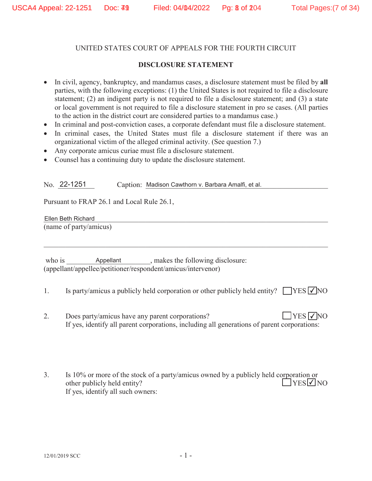### **DISCLOSURE STATEMENT**

- x In civil, agency, bankruptcy, and mandamus cases, a disclosure statement must be filed by **all** parties, with the following exceptions: (1) the United States is not required to file a disclosure statement; (2) an indigent party is not required to file a disclosure statement; and (3) a state or local government is not required to file a disclosure statement in pro se cases. (All parties to the action in the district court are considered parties to a mandamus case.)
- In criminal and post-conviction cases, a corporate defendant must file a disclosure statement.
- In criminal cases, the United States must file a disclosure statement if there was an organizational victim of the alleged criminal activity. (See question 7.)
- Any corporate amicus curiae must file a disclosure statement.
- Counsel has a continuing duty to update the disclosure statement.

No. 22-1251 Caption: Madison Cawthorn v. Barbara Amalfi, et al.

Pursuant to FRAP 26.1 and Local Rule 26.1,

Ellen Beth Richard and a structure of the structure of the structure of the structure of the structure of the structure of the structure of the structure of the structure of the structure of the structure of the structure (name of party/amicus)

- 1. Is party/amicus a publicly held corporation or other publicly held entity?  $\Box$  YES  $\Box$  NO
- 2. Does party/amicus have any parent corporations? If yes, identify all parent corporations, including all generations of parent corporations:  $\Box$ YES  $\nabla$ NO
- 3. Is 10% or more of the stock of a party/amicus owned by a publicly held corporation or other publicly held entity? If yes, identify all such owners:  $\exists$ YES $\neg$ NO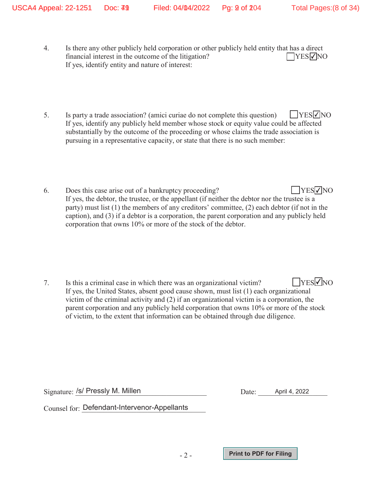- 4. Is there any other publicly held corporation or other publicly held entity that has a direct financial interest in the outcome of the litigation? If yes, identify entity and nature of interest:  $\Box$ YES $\nabla$ NO
- 5. Is party a trade association? (amici curiae do not complete this question) If yes, identify any publicly held member whose stock or equity value could be affected substantially by the outcome of the proceeding or whose claims the trade association is pursuing in a representative capacity, or state that there is no such member:  $\Box$ YES $\nabla$ NO
- 6. Does this case arise out of a bankruptcy proceeding? If yes, the debtor, the trustee, or the appellant (if neither the debtor nor the trustee is a party) must list (1) the members of any creditors' committee, (2) each debtor (if not in the caption), and (3) if a debtor is a corporation, the parent corporation and any publicly held corporation that owns 10% or more of the stock of the debtor.  $YESVNO$

-2-

Signature: /s/ Pressly M. Millen **Acceleration** Date: April 4, 2022

 $\rm{Counsel}$  for:  $\rm{Defendant\text{-}Intervenor\text{-}Appellants}$ 

**Print to PDF for Filing**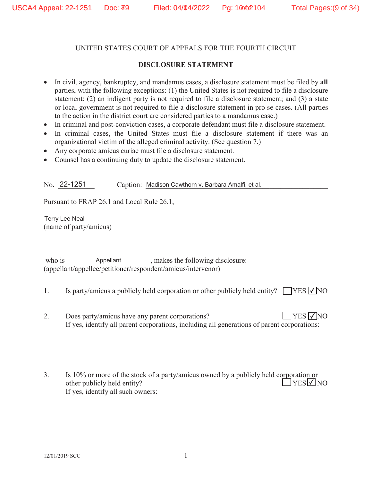## **DISCLOSURE STATEMENT**

- In civil, agency, bankruptcy, and mandamus cases, a disclosure statement must be filed by all parties, with the following exceptions: (1) the United States is not required to file a disclosure statement; (2) an indigent party is not required to file a disclosure statement; and (3) a state or local government is not required to file a disclosure statement in pro se cases. (All parties to the action in the district court are considered parties to a mandamus case.)
- In criminal and post-conviction cases, a corporate defendant must file a disclosure statement.
- In criminal cases, the United States must file a disclosure statement if there was an organizational victim of the alleged criminal activity. (See question 7.)
- Any corporate amicus curiae must file a disclosure statement.
- Counsel has a continuing duty to update the disclosure statement.

No. 22-1251 Caption: Madison Cawthorn v. Barbara Amalfi, et al.

Pursuant to FRAP 26.1 and Local Rule 26.1,

Terry Lee Neal and the set of the set of the set of the set of the set of the set of the set of the set of the (name of party/amicus)

- 1. Is party/amicus a publicly held corporation or other publicly held entity?  $\Box$  YES  $\Box$  NO
- 2. Does party/amicus have any parent corporations? If yes, identify all parent corporations, including all generations of parent corporations:  $\Box$ YES  $\nabla$ NO
- 3. Is 10% or more of the stock of a party/amicus owned by a publicly held corporation or other publicly held entity? If yes, identify all such owners:  $\exists$ YES $\neg$ NO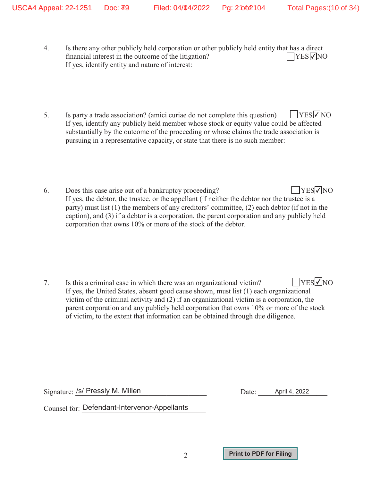- 4. Is there any other publicly held corporation or other publicly held entity that has a direct financial interest in the outcome of the litigation? If yes, identify entity and nature of interest:  $\Box$ YES $\nabla$ NO
- 5. Is party a trade association? (amici curiae do not complete this question) If yes, identify any publicly held member whose stock or equity value could be affected substantially by the outcome of the proceeding or whose claims the trade association is pursuing in a representative capacity, or state that there is no such member:  $\Box$ YES $\nabla$ NO
- 6. Does this case arise out of a bankruptcy proceeding? If yes, the debtor, the trustee, or the appellant (if neither the debtor nor the trustee is a party) must list (1) the members of any creditors' committee, (2) each debtor (if not in the caption), and (3) if a debtor is a corporation, the parent corporation and any publicly held corporation that owns 10% or more of the stock of the debtor.  $\Box$ YES $\nabla$ NO

-2-

Signature: /s/ Pressly M. Millen **Acceleration** Date: April 4, 2022

 $\rm{Counsel}$  for:  $\rm{Defendant\text{-}Intervenor\text{-}Appellants}$ 

**Print to PDF for Filing**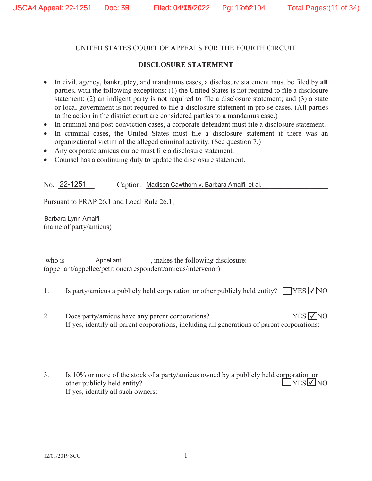#### **DISCLOSURE STATEMENT**

- In civil, agency, bankruptcy, and mandamus cases, a disclosure statement must be filed by all parties, with the following exceptions: (1) the United States is not required to file a disclosure statement; (2) an indigent party is not required to file a disclosure statement; and (3) a state or local government is not required to file a disclosure statement in pro se cases. (All parties to the action in the district court are considered parties to a mandamus case.)
- In criminal and post-conviction cases, a corporate defendant must file a disclosure statement.
- In criminal cases, the United States must file a disclosure statement if there was an organizational victim of the alleged criminal activity. (See question 7.)
- Any corporate amicus curiae must file a disclosure statement.
- Counsel has a continuing duty to update the disclosure statement.

No. 22-1251 Caption: Madison Cawthorn v. Barbara Amalfi, et al.

Pursuant to FRAP 26.1 and Local Rule 26.1,

Barbara Lynn Amalfi (name of party/amicus)

- 1. Is party/amicus a publicly held corporation or other publicly held entity?  $\Box$  YES  $\Box$  NO
- 2. Does party/amicus have any parent corporations? If yes, identify all parent corporations, including all generations of parent corporations:  $\Box$ YES  $\nabla$ NO
- 3. Is 10% or more of the stock of a party/amicus owned by a publicly held corporation or other publicly held entity? If yes, identify all such owners:  $YES$  NO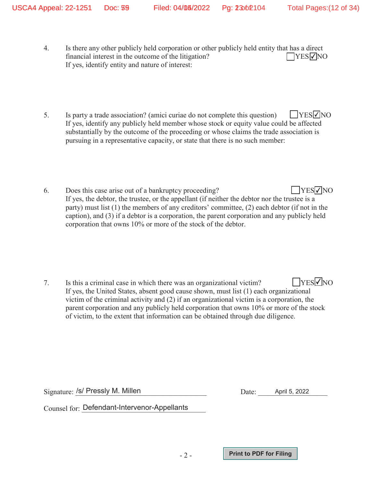- 4. Is there any other publicly held corporation or other publicly held entity that has a direct financial interest in the outcome of the litigation? If yes, identify entity and nature of interest:  $\Box$ YES $\nabla$ NO
- 5. Is party a trade association? (amici curiae do not complete this question) If yes, identify any publicly held member whose stock or equity value could be affected substantially by the outcome of the proceeding or whose claims the trade association is pursuing in a representative capacity, or state that there is no such member:  $\Box$ YES $\nabla$ NO
- 6. Does this case arise out of a bankruptcy proceeding? If yes, the debtor, the trustee, or the appellant (if neither the debtor nor the trustee is a party) must list (1) the members of any creditors' committee, (2) each debtor (if not in the caption), and (3) if a debtor is a corporation, the parent corporation and any publicly held corporation that owns 10% or more of the stock of the debtor.  $\Box$ YES $\nabla$ NO

-2-

Signature: /s/ Pressly M. Millen **Acceleration** Date: April 5, 2022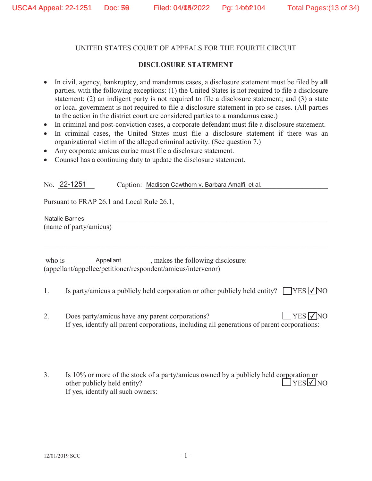### **DISCLOSURE STATEMENT**

- In civil, agency, bankruptcy, and mandamus cases, a disclosure statement must be filed by all parties, with the following exceptions: (1) the United States is not required to file a disclosure statement; (2) an indigent party is not required to file a disclosure statement; and (3) a state or local government is not required to file a disclosure statement in pro se cases. (All parties to the action in the district court are considered parties to a mandamus case.)
- In criminal and post-conviction cases, a corporate defendant must file a disclosure statement.
- In criminal cases, the United States must file a disclosure statement if there was an organizational victim of the alleged criminal activity. (See question 7.)
- Any corporate amicus curiae must file a disclosure statement.
- Counsel has a continuing duty to update the disclosure statement.

No. 22-1251 Caption: Madison Cawthorn v. Barbara Amalfi, et al.

Pursuant to FRAP 26.1 and Local Rule 26.1,

Natalie Barnes (name of party/amicus)

- 1. Is party/amicus a publicly held corporation or other publicly held entity?  $\Box$  YES  $\Box$  NO
- 2. Does party/amicus have any parent corporations? If yes, identify all parent corporations, including all generations of parent corporations:  $\Box$ YES  $\nabla$ NO
- 3. Is 10% or more of the stock of a party/amicus owned by a publicly held corporation or other publicly held entity? If yes, identify all such owners:  $YES$  NO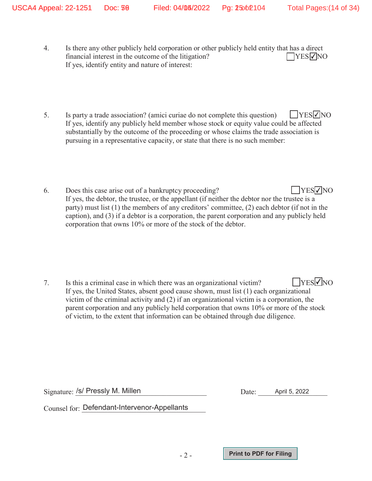- 4. Is there any other publicly held corporation or other publicly held entity that has a direct financial interest in the outcome of the litigation? If yes, identify entity and nature of interest:  $\Box$ YES $\nabla$ NO
- 5. Is party a trade association? (amici curiae do not complete this question) If yes, identify any publicly held member whose stock or equity value could be affected substantially by the outcome of the proceeding or whose claims the trade association is pursuing in a representative capacity, or state that there is no such member:  $\Box$ YES $\nabla$ NO
- 6. Does this case arise out of a bankruptcy proceeding? If yes, the debtor, the trustee, or the appellant (if neither the debtor nor the trustee is a party) must list (1) the members of any creditors' committee, (2) each debtor (if not in the caption), and (3) if a debtor is a corporation, the parent corporation and any publicly held corporation that owns 10% or more of the stock of the debtor.  $\Box$ YES $\nabla$ NO

-2-

Signature: /s/ Pressly M. Millen **Acceleration** Date: April 5, 2022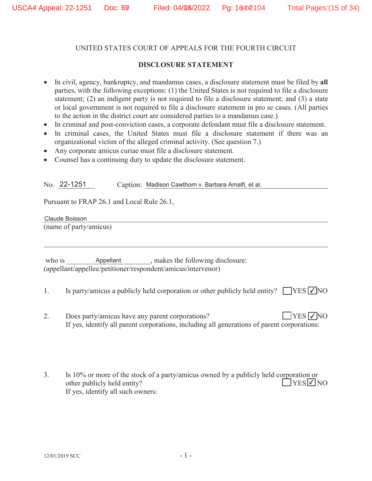### **DISCLOSURE STATEMENT**

- In civil, agency, bankruptcy, and mandamus cases, a disclosure statement must be filed by all parties, with the following exceptions: (1) the United States is not required to file a disclosure statement; (2) an indigent party is not required to file a disclosure statement; and (3) a state or local government is not required to file a disclosure statement in pro se cases. (All parties to the action in the district court are considered parties to a mandamus case.)
- In criminal and post-conviction cases, a corporate defendant must file a disclosure statement.
- In criminal cases, the United States must file a disclosure statement if there was an organizational victim of the alleged criminal activity. (See question 7.)
- Any corporate amicus curiae must file a disclosure statement.
- Counsel has a continuing duty to update the disclosure statement.

No. 22-1251 Caption: Madison Cawthorn v. Barbara Amalfi, et al.

Pursuant to FRAP 26.1 and Local Rule 26.1,

Claude Boisson Contract of the Contract of the Contract of the Contract of the Contract of the Contract of the (name of party/amicus)

- 1. Is party/amicus a publicly held corporation or other publicly held entity?  $\Box$  YES  $\Box$  NO
- 2. Does party/amicus have any parent corporations? If yes, identify all parent corporations, including all generations of parent corporations:  $\Box$ YES  $\nabla$ NO
- 3. Is 10% or more of the stock of a party/amicus owned by a publicly held corporation or other publicly held entity? If yes, identify all such owners:  $\exists$ YES $\neg$ NO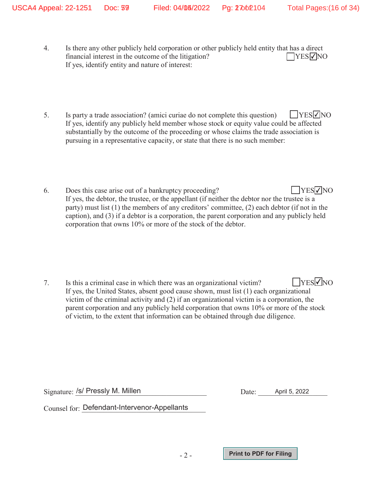- 4. Is there any other publicly held corporation or other publicly held entity that has a direct financial interest in the outcome of the litigation? If yes, identify entity and nature of interest:  $\Box$ YES $\nabla$ NO
- 5. Is party a trade association? (amici curiae do not complete this question) If yes, identify any publicly held member whose stock or equity value could be affected substantially by the outcome of the proceeding or whose claims the trade association is pursuing in a representative capacity, or state that there is no such member:  $\Box$ YES $\nabla$ NO
- 6. Does this case arise out of a bankruptcy proceeding? If yes, the debtor, the trustee, or the appellant (if neither the debtor nor the trustee is a party) must list (1) the members of any creditors' committee, (2) each debtor (if not in the caption), and (3) if a debtor is a corporation, the parent corporation and any publicly held corporation that owns 10% or more of the stock of the debtor.  $\Box$ YES $\nabla$ NO

-2-

Signature: /s/ Pressly M. Millen **Acceleration** Date: April 5, 2022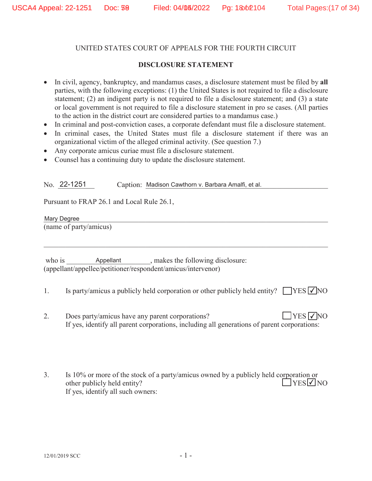## **DISCLOSURE STATEMENT**

- In civil, agency, bankruptcy, and mandamus cases, a disclosure statement must be filed by all parties, with the following exceptions: (1) the United States is not required to file a disclosure statement; (2) an indigent party is not required to file a disclosure statement; and (3) a state or local government is not required to file a disclosure statement in pro se cases. (All parties to the action in the district court are considered parties to a mandamus case.)
- In criminal and post-conviction cases, a corporate defendant must file a disclosure statement.
- In criminal cases, the United States must file a disclosure statement if there was an organizational victim of the alleged criminal activity. (See question 7.)
- Any corporate amicus curiae must file a disclosure statement.
- Counsel has a continuing duty to update the disclosure statement.

No. 22-1251 Caption: Madison Cawthorn v. Barbara Amalfi, et al.

Pursuant to FRAP 26.1 and Local Rule 26.1,

Mary Degree (name of party/amicus)

- 1. Is party/amicus a publicly held corporation or other publicly held entity?  $\Box$  YES  $\Box$  NO
- 2. Does party/amicus have any parent corporations? If yes, identify all parent corporations, including all generations of parent corporations:  $\Box$ YES  $\nabla$ NO
- 3. Is 10% or more of the stock of a party/amicus owned by a publicly held corporation or other publicly held entity? If yes, identify all such owners:  $YES$  NO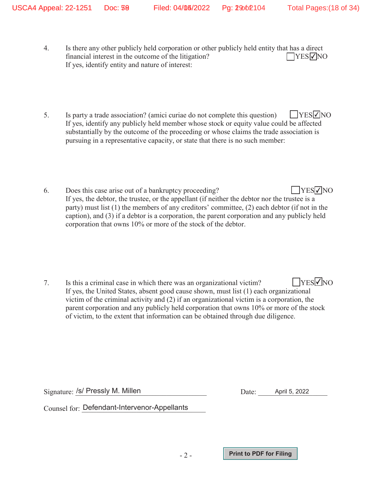- 4. Is there any other publicly held corporation or other publicly held entity that has a direct financial interest in the outcome of the litigation? If yes, identify entity and nature of interest:  $\Box$ YES $\nabla$ NO
- 5. Is party a trade association? (amici curiae do not complete this question) If yes, identify any publicly held member whose stock or equity value could be affected substantially by the outcome of the proceeding or whose claims the trade association is pursuing in a representative capacity, or state that there is no such member:  $\Box$ YES $\nabla$ NO
- 6. Does this case arise out of a bankruptcy proceeding? If yes, the debtor, the trustee, or the appellant (if neither the debtor nor the trustee is a party) must list (1) the members of any creditors' committee, (2) each debtor (if not in the caption), and (3) if a debtor is a corporation, the parent corporation and any publicly held corporation that owns 10% or more of the stock of the debtor.  $\Box$ YES $\nabla$ NO

-2-

Signature: /s/ Pressly M. Millen **Acceleration** Date: April 5, 2022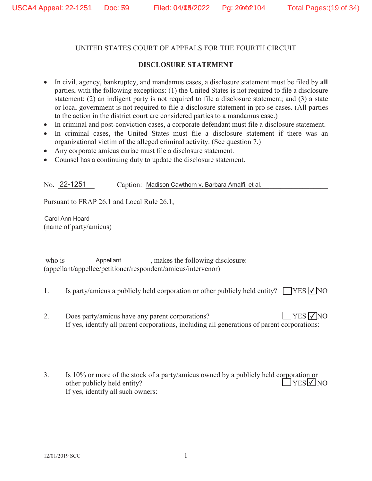### **DISCLOSURE STATEMENT**

- In civil, agency, bankruptcy, and mandamus cases, a disclosure statement must be filed by all parties, with the following exceptions: (1) the United States is not required to file a disclosure statement; (2) an indigent party is not required to file a disclosure statement; and (3) a state or local government is not required to file a disclosure statement in pro se cases. (All parties to the action in the district court are considered parties to a mandamus case.)
- In criminal and post-conviction cases, a corporate defendant must file a disclosure statement.
- In criminal cases, the United States must file a disclosure statement if there was an organizational victim of the alleged criminal activity. (See question 7.)
- Any corporate amicus curiae must file a disclosure statement.
- Counsel has a continuing duty to update the disclosure statement.

No. 22-1251 Caption: Madison Cawthorn v. Barbara Amalfi, et al.

Pursuant to FRAP 26.1 and Local Rule 26.1,

Carol Ann Hoard and the community of the community of the community of the community of the community of the community of the community of the community of the community of the community of the community of the community o (name of party/amicus)

- 1. Is party/amicus a publicly held corporation or other publicly held entity?  $\Box$  YES  $\Box$  NO
- 2. Does party/amicus have any parent corporations? If yes, identify all parent corporations, including all generations of parent corporations:  $\Box$ YES  $\nabla$ NO
- 3. Is 10% or more of the stock of a party/amicus owned by a publicly held corporation or other publicly held entity? If yes, identify all such owners:  $\exists$ YES $\neg$ NO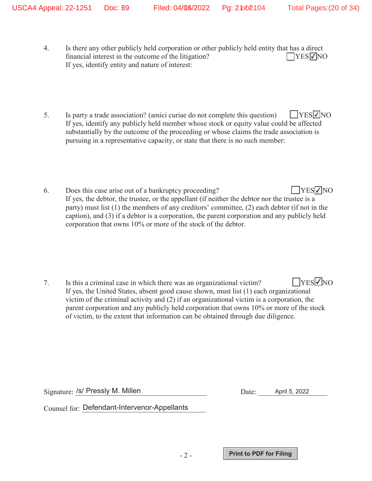- 4. Is there any other publicly held corporation or other publicly held entity that has a direct financial interest in the outcome of the litigation? If yes, identify entity and nature of interest:  $\Box$ YES $\nabla$ NO
- 5. Is party a trade association? (amici curiae do not complete this question) If yes, identify any publicly held member whose stock or equity value could be affected substantially by the outcome of the proceeding or whose claims the trade association is pursuing in a representative capacity, or state that there is no such member:  $\Box$ YES $\nabla$ NO
- 6. Does this case arise out of a bankruptcy proceeding? If yes, the debtor, the trustee, or the appellant (if neither the debtor nor the trustee is a party) must list (1) the members of any creditors' committee, (2) each debtor (if not in the caption), and (3) if a debtor is a corporation, the parent corporation and any publicly held corporation that owns 10% or more of the stock of the debtor.  $\Box$ YES $\nabla$ NO

-2-

Signature: /s/ Pressly M. Millen **Acceleration** Date: April 5, 2022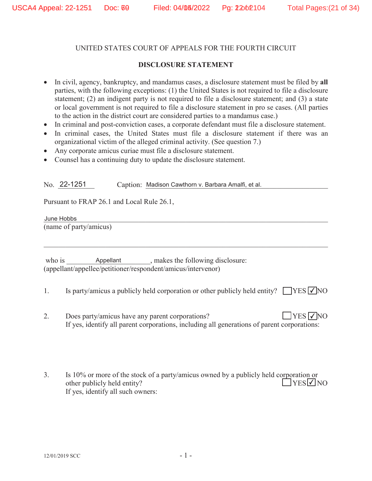#### **DISCLOSURE STATEMENT**

- In civil, agency, bankruptcy, and mandamus cases, a disclosure statement must be filed by all parties, with the following exceptions: (1) the United States is not required to file a disclosure statement; (2) an indigent party is not required to file a disclosure statement; and (3) a state or local government is not required to file a disclosure statement in pro se cases. (All parties to the action in the district court are considered parties to a mandamus case.)
- In criminal and post-conviction cases, a corporate defendant must file a disclosure statement.
- In criminal cases, the United States must file a disclosure statement if there was an organizational victim of the alleged criminal activity. (See question 7.)
- Any corporate amicus curiae must file a disclosure statement.
- Counsel has a continuing duty to update the disclosure statement.

No. 22-1251 Caption: Madison Cawthorn v. Barbara Amalfi, et al.

Pursuant to FRAP 26.1 and Local Rule 26.1,

dune Hobbs (name of party/amicus) June Hobbs

- 1. Is party/amicus a publicly held corporation or other publicly held entity?  $\Box$  YES  $\Box$  NO
- 2. Does party/amicus have any parent corporations? If yes, identify all parent corporations, including all generations of parent corporations:  $\Box$ YES  $\nabla$ NO
- 3. Is 10% or more of the stock of a party/amicus owned by a publicly held corporation or other publicly held entity? If yes, identify all such owners:  $YES$  NO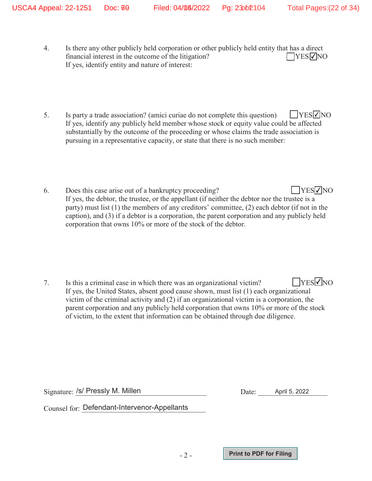- 4. Is there any other publicly held corporation or other publicly held entity that has a direct financial interest in the outcome of the litigation? If yes, identify entity and nature of interest:  $\Box$ YES $\nabla$ NO
- 5. Is party a trade association? (amici curiae do not complete this question) If yes, identify any publicly held member whose stock or equity value could be affected substantially by the outcome of the proceeding or whose claims the trade association is pursuing in a representative capacity, or state that there is no such member:  $\Box$ YES $\nabla$ NO
- 6. Does this case arise out of a bankruptcy proceeding? If yes, the debtor, the trustee, or the appellant (if neither the debtor nor the trustee is a party) must list (1) the members of any creditors' committee, (2) each debtor (if not in the caption), and (3) if a debtor is a corporation, the parent corporation and any publicly held corporation that owns 10% or more of the stock of the debtor.  $\Box$ YES $\nabla$ NO

-2-

Signature: /s/ Pressly M. Millen **Acceleration** Date: April 5, 2022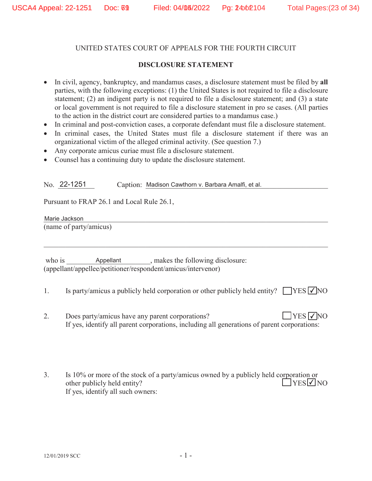#### **DISCLOSURE STATEMENT**

- In civil, agency, bankruptcy, and mandamus cases, a disclosure statement must be filed by all parties, with the following exceptions: (1) the United States is not required to file a disclosure statement; (2) an indigent party is not required to file a disclosure statement; and (3) a state or local government is not required to file a disclosure statement in pro se cases. (All parties to the action in the district court are considered parties to a mandamus case.)
- In criminal and post-conviction cases, a corporate defendant must file a disclosure statement.
- In criminal cases, the United States must file a disclosure statement if there was an organizational victim of the alleged criminal activity. (See question 7.)
- Any corporate amicus curiae must file a disclosure statement.
- Counsel has a continuing duty to update the disclosure statement.

No. 22-1251 Caption: Madison Cawthorn v. Barbara Amalfi, et al.

Pursuant to FRAP 26.1 and Local Rule 26.1,

Marie Jackson (name of party/amicus)

- 1. Is party/amicus a publicly held corporation or other publicly held entity?  $\Box$  YES  $\Box$  NO
- 2. Does party/amicus have any parent corporations? If yes, identify all parent corporations, including all generations of parent corporations:  $\Box$ YES  $\nabla$ NO
- 3. Is 10% or more of the stock of a party/amicus owned by a publicly held corporation or other publicly held entity? If yes, identify all such owners:  $YES$  NO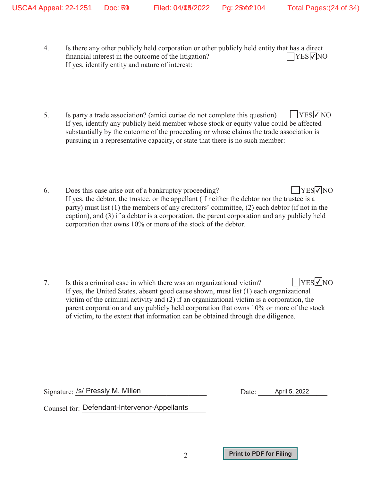- 4. Is there any other publicly held corporation or other publicly held entity that has a direct financial interest in the outcome of the litigation? If yes, identify entity and nature of interest:  $\Box$ YES $\nabla$ NO
- 5. Is party a trade association? (amici curiae do not complete this question) If yes, identify any publicly held member whose stock or equity value could be affected substantially by the outcome of the proceeding or whose claims the trade association is pursuing in a representative capacity, or state that there is no such member:  $\Box$ YES $\nabla$ NO
- 6. Does this case arise out of a bankruptcy proceeding? If yes, the debtor, the trustee, or the appellant (if neither the debtor nor the trustee is a party) must list (1) the members of any creditors' committee, (2) each debtor (if not in the caption), and (3) if a debtor is a corporation, the parent corporation and any publicly held corporation that owns 10% or more of the stock of the debtor.  $\Box$ YES $\nabla$ NO

-2-

Signature: /s/ Pressly M. Millen **Acceleration** Date: April 5, 2022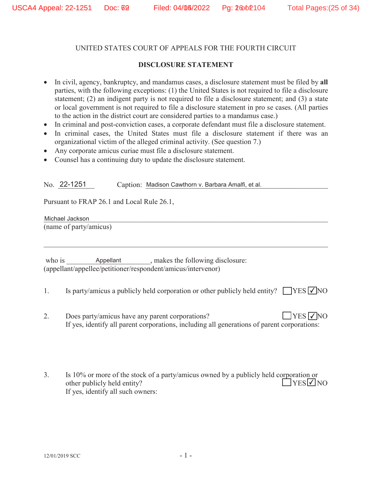### **DISCLOSURE STATEMENT**

- In civil, agency, bankruptcy, and mandamus cases, a disclosure statement must be filed by all parties, with the following exceptions: (1) the United States is not required to file a disclosure statement; (2) an indigent party is not required to file a disclosure statement; and (3) a state or local government is not required to file a disclosure statement in pro se cases. (All parties to the action in the district court are considered parties to a mandamus case.)
- In criminal and post-conviction cases, a corporate defendant must file a disclosure statement.
- In criminal cases, the United States must file a disclosure statement if there was an organizational victim of the alleged criminal activity. (See question 7.)
- Any corporate amicus curiae must file a disclosure statement.
- Counsel has a continuing duty to update the disclosure statement.

No. 22-1251 Caption: Madison Cawthorn v. Barbara Amalfi, et al.

Pursuant to FRAP 26.1 and Local Rule 26.1,

Michael Jackson (name of party/amicus)

- 1. Is party/amicus a publicly held corporation or other publicly held entity?  $\Box$  YES  $\Box$  NO
- 2. Does party/amicus have any parent corporations? If yes, identify all parent corporations, including all generations of parent corporations:  $\Box$ YES  $\nabla$ NO
- 3. Is 10% or more of the stock of a party/amicus owned by a publicly held corporation or other publicly held entity? If yes, identify all such owners:  $\exists$ YES $\neg$ NO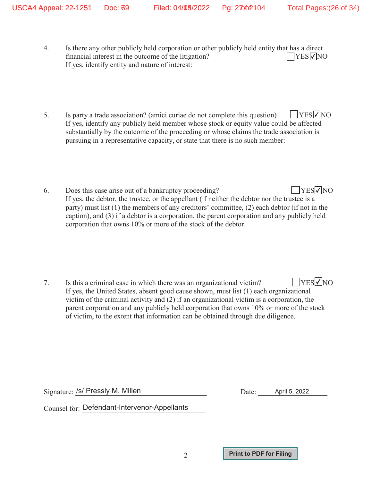- 4. Is there any other publicly held corporation or other publicly held entity that has a direct financial interest in the outcome of the litigation? If yes, identify entity and nature of interest:  $\Box$ YES $\nabla$ NO
- 5. Is party a trade association? (amici curiae do not complete this question) If yes, identify any publicly held member whose stock or equity value could be affected substantially by the outcome of the proceeding or whose claims the trade association is pursuing in a representative capacity, or state that there is no such member:  $\Box$ YES $\nabla$ NO
- 6. Does this case arise out of a bankruptcy proceeding? If yes, the debtor, the trustee, or the appellant (if neither the debtor nor the trustee is a party) must list (1) the members of any creditors' committee, (2) each debtor (if not in the caption), and (3) if a debtor is a corporation, the parent corporation and any publicly held corporation that owns 10% or more of the stock of the debtor.  $\Box$ YES $\nabla$ NO

-2-

Signature: /s/ Pressly M. Millen **Acceleration** Date: April 5, 2022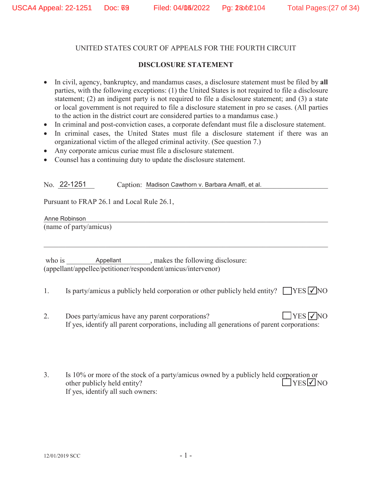### **DISCLOSURE STATEMENT**

- In civil, agency, bankruptcy, and mandamus cases, a disclosure statement must be filed by all parties, with the following exceptions: (1) the United States is not required to file a disclosure statement; (2) an indigent party is not required to file a disclosure statement; and (3) a state or local government is not required to file a disclosure statement in pro se cases. (All parties to the action in the district court are considered parties to a mandamus case.)
- In criminal and post-conviction cases, a corporate defendant must file a disclosure statement.
- In criminal cases, the United States must file a disclosure statement if there was an organizational victim of the alleged criminal activity. (See question 7.)
- Any corporate amicus curiae must file a disclosure statement.
- Counsel has a continuing duty to update the disclosure statement.

No. 22-1251 Caption: Madison Cawthorn v. Barbara Amalfi, et al.

Pursuant to FRAP 26.1 and Local Rule 26.1,

Anne Robinson (name of party/amicus)

- 1. Is party/amicus a publicly held corporation or other publicly held entity?  $\Box$  YES  $\Box$  NO
- 2. Does party/amicus have any parent corporations? If yes, identify all parent corporations, including all generations of parent corporations:  $\Box$ YES  $\nabla$ NO
- 3. Is 10% or more of the stock of a party/amicus owned by a publicly held corporation or other publicly held entity? If yes, identify all such owners:  $\exists$ YES $\neg$ NO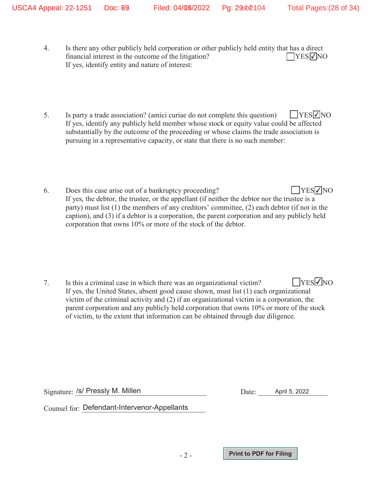- 4. Is there any other publicly held corporation or other publicly held entity that has a direct financial interest in the outcome of the litigation? If yes, identify entity and nature of interest:  $\Box$ YES $\nabla$ NO
- 5. Is party a trade association? (amici curiae do not complete this question) If yes, identify any publicly held member whose stock or equity value could be affected substantially by the outcome of the proceeding or whose claims the trade association is pursuing in a representative capacity, or state that there is no such member:  $\Box$ YES $\nabla$ NO
- 6. Does this case arise out of a bankruptcy proceeding? If yes, the debtor, the trustee, or the appellant (if neither the debtor nor the trustee is a party) must list (1) the members of any creditors' committee, (2) each debtor (if not in the caption), and (3) if a debtor is a corporation, the parent corporation and any publicly held corporation that owns 10% or more of the stock of the debtor.  $\Box$ YES $\nabla$ NO

-2-

Signature: /s/ Pressly M. Millen **Acceleration** Date: April 5, 2022

 $\rm{Counsel}$  for:  $\rm{Defendant\text{-}Intervenor\text{-}Appellants}$ 

**Print to PDF for Filing**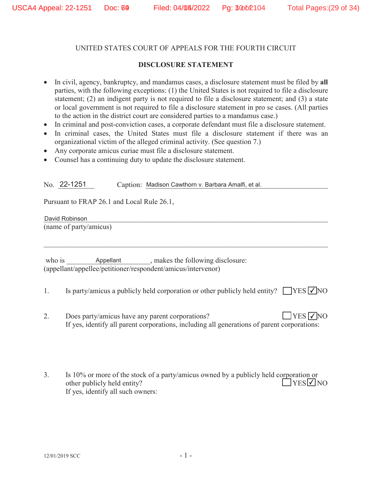#### **DISCLOSURE STATEMENT**

- In civil, agency, bankruptcy, and mandamus cases, a disclosure statement must be filed by all parties, with the following exceptions: (1) the United States is not required to file a disclosure statement; (2) an indigent party is not required to file a disclosure statement; and (3) a state or local government is not required to file a disclosure statement in pro se cases. (All parties to the action in the district court are considered parties to a mandamus case.)
- In criminal and post-conviction cases, a corporate defendant must file a disclosure statement.
- In criminal cases, the United States must file a disclosure statement if there was an organizational victim of the alleged criminal activity. (See question 7.)
- Any corporate amicus curiae must file a disclosure statement.
- Counsel has a continuing duty to update the disclosure statement.

No. 22-1251 Caption: Madison Cawthorn v. Barbara Amalfi, et al.

Pursuant to FRAP 26.1 and Local Rule 26.1,

David Robinson (name of party/amicus)

- 1. Is party/amicus a publicly held corporation or other publicly held entity?  $\Box$  YES  $\Box$  NO
- 2. Does party/amicus have any parent corporations? If yes, identify all parent corporations, including all generations of parent corporations:  $\Box$ YES  $\nabla$ NO
- 3. Is 10% or more of the stock of a party/amicus owned by a publicly held corporation or other publicly held entity? If yes, identify all such owners:  $\exists$ YES $\neg$ NO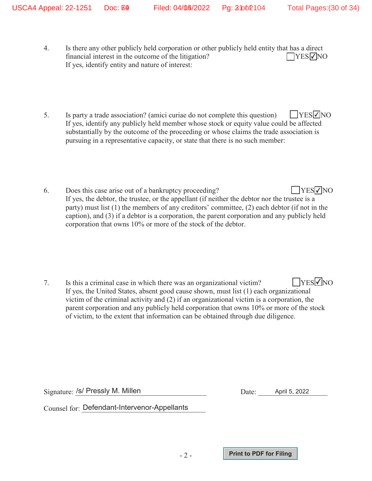- 4. Is there any other publicly held corporation or other publicly held entity that has a direct financial interest in the outcome of the litigation? If yes, identify entity and nature of interest:  $\Box$ YES $\nabla$ NO
- 5. Is party a trade association? (amici curiae do not complete this question) If yes, identify any publicly held member whose stock or equity value could be affected substantially by the outcome of the proceeding or whose claims the trade association is pursuing in a representative capacity, or state that there is no such member:  $\Box$ YES $\nabla$ NO
- 6. Does this case arise out of a bankruptcy proceeding? If yes, the debtor, the trustee, or the appellant (if neither the debtor nor the trustee is a party) must list (1) the members of any creditors' committee, (2) each debtor (if not in the caption), and (3) if a debtor is a corporation, the parent corporation and any publicly held corporation that owns 10% or more of the stock of the debtor.  $\Box$ YES $\nabla$ NO

-2-

Signature: /s/ Pressly M. Millen **Acceleration** Date: April 5, 2022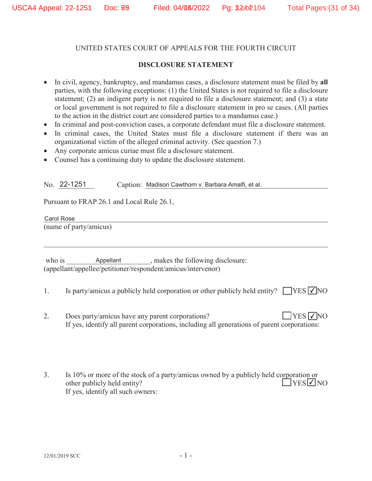#### **DISCLOSURE STATEMENT**

- In civil, agency, bankruptcy, and mandamus cases, a disclosure statement must be filed by all parties, with the following exceptions: (1) the United States is not required to file a disclosure statement; (2) an indigent party is not required to file a disclosure statement; and (3) a state or local government is not required to file a disclosure statement in pro se cases. (All parties to the action in the district court are considered parties to a mandamus case.)
- In criminal and post-conviction cases, a corporate defendant must file a disclosure statement.
- In criminal cases, the United States must file a disclosure statement if there was an organizational victim of the alleged criminal activity. (See question 7.)
- Any corporate amicus curiae must file a disclosure statement.
- Counsel has a continuing duty to update the disclosure statement.

No. 22-1251 Caption: Madison Cawthorn v. Barbara Amalfi, et al.

Pursuant to FRAP 26.1 and Local Rule 26.1,

Carol Rose and the contract of the contract of the contract of the contract of the contract of the contract of (name of party/amicus) Carol Rose

- 1. Is party/amicus a publicly held corporation or other publicly held entity?  $\Box$  YES  $\Box$  NO
- 2. Does party/amicus have any parent corporations? If yes, identify all parent corporations, including all generations of parent corporations:  $\Box$ YES  $\nabla$ NO
- 3. Is 10% or more of the stock of a party/amicus owned by a publicly held corporation or other publicly held entity? If yes, identify all such owners:  $YES$  NO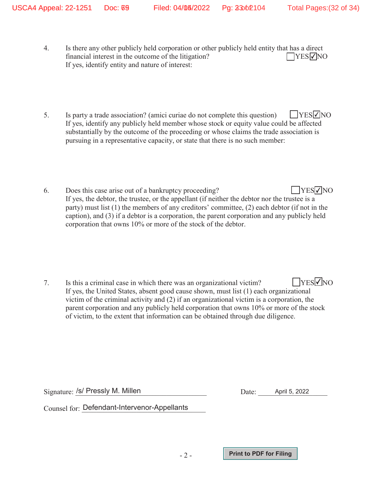- 4. Is there any other publicly held corporation or other publicly held entity that has a direct financial interest in the outcome of the litigation? If yes, identify entity and nature of interest:  $\Box$ YES $\nabla$ NO
- 5. Is party a trade association? (amici curiae do not complete this question) If yes, identify any publicly held member whose stock or equity value could be affected substantially by the outcome of the proceeding or whose claims the trade association is pursuing in a representative capacity, or state that there is no such member:  $\Box$ YES $\nabla$ NO
- 6. Does this case arise out of a bankruptcy proceeding? If yes, the debtor, the trustee, or the appellant (if neither the debtor nor the trustee is a party) must list (1) the members of any creditors' committee, (2) each debtor (if not in the caption), and (3) if a debtor is a corporation, the parent corporation and any publicly held corporation that owns 10% or more of the stock of the debtor.  $\Box$ YES $\nabla$ NO

-2-

Signature: /s/ Pressly M. Millen **Acceleration** Date: April 5, 2022

 $\rm{Counsel}$  for:  $\rm{Defendant\text{-}Intervenor\text{-}Appellants}$ 

**Print to PDF for Filing**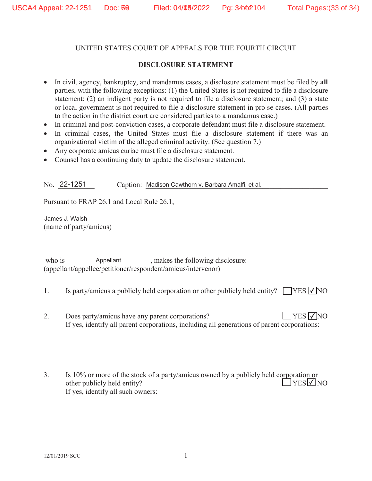#### **DISCLOSURE STATEMENT**

- In civil, agency, bankruptcy, and mandamus cases, a disclosure statement must be filed by all parties, with the following exceptions: (1) the United States is not required to file a disclosure statement; (2) an indigent party is not required to file a disclosure statement; and (3) a state or local government is not required to file a disclosure statement in pro se cases. (All parties to the action in the district court are considered parties to a mandamus case.)
- In criminal and post-conviction cases, a corporate defendant must file a disclosure statement.
- In criminal cases, the United States must file a disclosure statement if there was an organizational victim of the alleged criminal activity. (See question 7.)
- Any corporate amicus curiae must file a disclosure statement.
- Counsel has a continuing duty to update the disclosure statement.

No. 22-1251 Caption: Madison Cawthorn v. Barbara Amalfi, et al.

Pursuant to FRAP 26.1 and Local Rule 26.1,

James J. Walsh (name of party/amicus)

- 1. Is party/amicus a publicly held corporation or other publicly held entity?  $\Box$  YES  $\Box$  NO
- 2. Does party/amicus have any parent corporations? If yes, identify all parent corporations, including all generations of parent corporations:  $\Box$ YES  $\nabla$ NO
- 3. Is 10% or more of the stock of a party/amicus owned by a publicly held corporation or other publicly held entity? If yes, identify all such owners:  $YES$  NO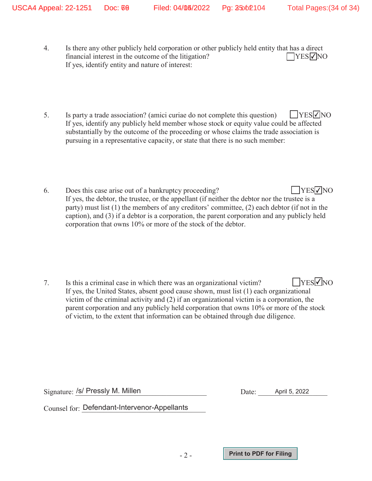- 4. Is there any other publicly held corporation or other publicly held entity that has a direct financial interest in the outcome of the litigation? If yes, identify entity and nature of interest:  $\Box$ YES $\nabla$ NO
- 5. Is party a trade association? (amici curiae do not complete this question) If yes, identify any publicly held member whose stock or equity value could be affected substantially by the outcome of the proceeding or whose claims the trade association is pursuing in a representative capacity, or state that there is no such member:  $\Box$ YES $\nabla$ NO
- 6. Does this case arise out of a bankruptcy proceeding? If yes, the debtor, the trustee, or the appellant (if neither the debtor nor the trustee is a party) must list (1) the members of any creditors' committee, (2) each debtor (if not in the caption), and (3) if a debtor is a corporation, the parent corporation and any publicly held corporation that owns 10% or more of the stock of the debtor.  $\Box$ YES $\nabla$ NO

-2-

Signature: /s/ Pressly M. Millen **Acceleration** Date: April 5, 2022

 $\rm{Counsel}$  for:  $\rm{Defendant\text{-}Intervenor\text{-}Appellants}$ 

**Print to PDF for Filing**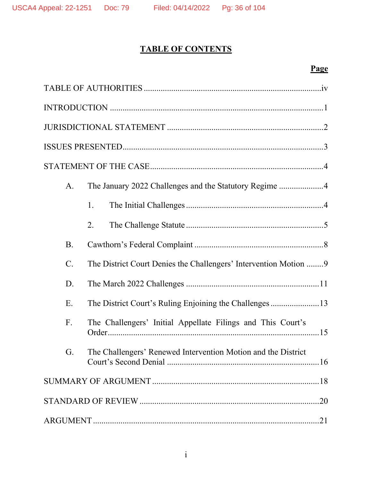## **TABLE OF CONTENTS**

## **Page**

| $A_{\cdot}$     |                                                                  |  |
|-----------------|------------------------------------------------------------------|--|
|                 | 1.                                                               |  |
|                 | 2.                                                               |  |
| <b>B</b> .      |                                                                  |  |
| $\mathcal{C}$ . | The District Court Denies the Challengers' Intervention Motion 9 |  |
| D.              |                                                                  |  |
| Ε.              |                                                                  |  |
| F.              | The Challengers' Initial Appellate Filings and This Court's      |  |
| G.              | The Challengers' Renewed Intervention Motion and the District    |  |
|                 |                                                                  |  |
|                 |                                                                  |  |
|                 |                                                                  |  |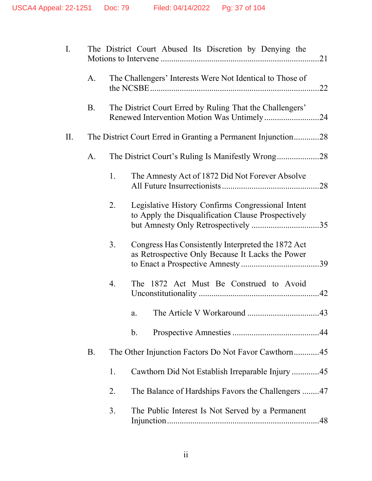| I.  |           |    | The District Court Abused Its Discretion by Denying the                                                 |
|-----|-----------|----|---------------------------------------------------------------------------------------------------------|
|     | A.        |    | The Challengers' Interests Were Not Identical to Those of                                               |
|     | <b>B.</b> |    | The District Court Erred by Ruling That the Challengers'<br>Renewed Intervention Motion Was Untimely24  |
| II. |           |    | The District Court Erred in Granting a Permanent Injunction28                                           |
|     | A.        |    | The District Court's Ruling Is Manifestly Wrong28                                                       |
|     |           | 1. | The Amnesty Act of 1872 Did Not Forever Absolve                                                         |
|     |           | 2. | Legislative History Confirms Congressional Intent<br>to Apply the Disqualification Clause Prospectively |
|     |           | 3. | Congress Has Consistently Interpreted the 1872 Act<br>as Retrospective Only Because It Lacks the Power  |
|     |           | 4. | The 1872 Act Must Be Construed to Avoid                                                                 |
|     |           |    | a.                                                                                                      |
|     |           |    | $\mathbf b$ .                                                                                           |
|     | <b>B.</b> |    | The Other Injunction Factors Do Not Favor Cawthorn45                                                    |
|     |           | 1. | Cawthorn Did Not Establish Irreparable Injury 45                                                        |
|     |           | 2. | The Balance of Hardships Favors the Challengers 47                                                      |
|     |           | 3. | The Public Interest Is Not Served by a Permanent                                                        |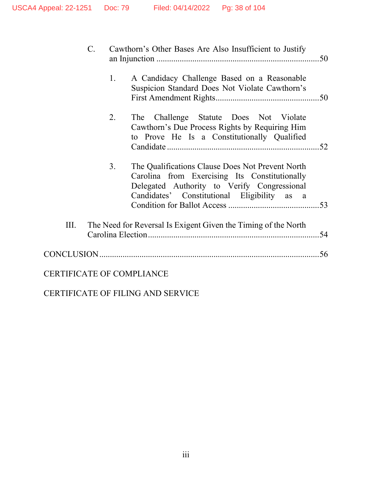|      | $\mathcal{C}$ . |                | Cawthorn's Other Bases Are Also Insufficient to Justify                                                                                                                                         |     |
|------|-----------------|----------------|-------------------------------------------------------------------------------------------------------------------------------------------------------------------------------------------------|-----|
|      |                 | 1.             | A Candidacy Challenge Based on a Reasonable<br>Suspicion Standard Does Not Violate Cawthorn's                                                                                                   |     |
|      |                 | 2.             | The Challenge Statute Does Not Violate<br>Cawthorn's Due Process Rights by Requiring Him<br>to Prove He Is a Constitutionally Qualified                                                         |     |
|      |                 | 3 <sub>1</sub> | The Qualifications Clause Does Not Prevent North<br>Carolina from Exercising Its Constitutionally<br>Delegated Authority to Verify Congressional<br>Candidates' Constitutional Eligibility as a |     |
| III. |                 |                | The Need for Reversal Is Exigent Given the Timing of the North                                                                                                                                  | .54 |
|      |                 |                |                                                                                                                                                                                                 |     |
|      |                 |                | <b>CERTIFICATE OF COMPLIANCE</b>                                                                                                                                                                |     |

CERTIFICATE OF FILING AND SERVICE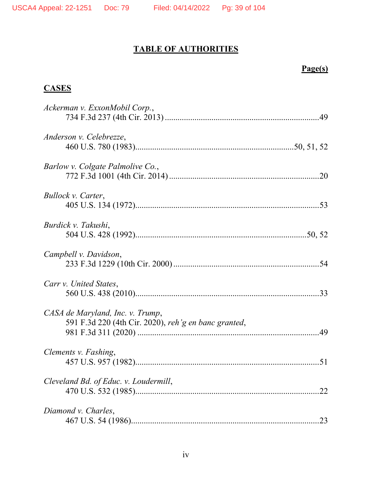# **TABLE OF AUTHORITIES**

# **Page(s)**

# **CASES**

| Ackerman v. ExxonMobil Corp.,                                                            |    |
|------------------------------------------------------------------------------------------|----|
| Anderson v. Celebrezze,                                                                  |    |
| Barlow v. Colgate Palmolive Co.,                                                         |    |
| Bullock v. Carter,                                                                       |    |
| Burdick v. Takushi,                                                                      |    |
| Campbell v. Davidson,                                                                    |    |
| Carr v. United States,                                                                   |    |
| CASA de Maryland, Inc. v. Trump,<br>591 F.3d 220 (4th Cir. 2020), reh'g en banc granted, |    |
| Clements v. Fashing,                                                                     |    |
| Cleveland Bd. of Educ. v. Loudermill,                                                    | 22 |
| Diamond v. Charles,                                                                      | 23 |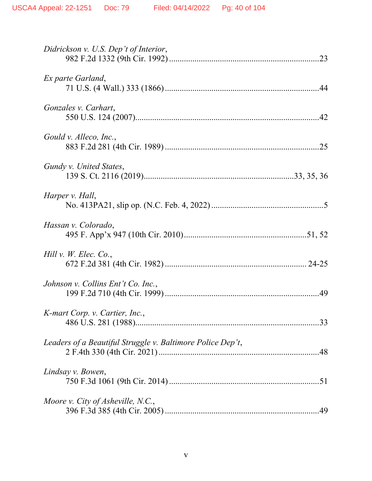| Didrickson v. U.S. Dep't of Interior,                      |  |
|------------------------------------------------------------|--|
| Ex parte Garland,                                          |  |
| Gonzales v. Carhart,                                       |  |
| Gould v. Alleco, Inc.,                                     |  |
| Gundy v. United States,                                    |  |
| Harper v. Hall,                                            |  |
| Hassan v. Colorado,                                        |  |
| Hill v. W. Elec. Co.,                                      |  |
| Johnson v. Collins Ent't Co. Inc.,                         |  |
| K-mart Corp. v. Cartier, Inc.,                             |  |
| Leaders of a Beautiful Struggle v. Baltimore Police Dep't, |  |
| Lindsay v. Bowen,                                          |  |
| Moore v. City of Asheville, N.C.,                          |  |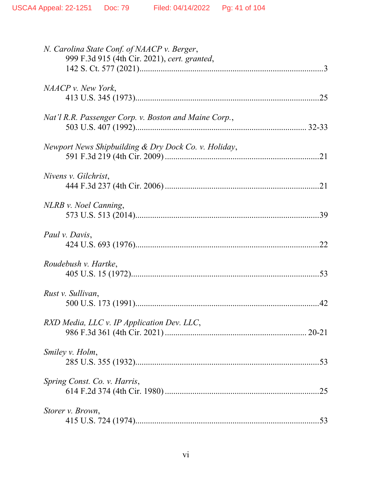| N. Carolina State Conf. of NAACP v. Berger,<br>999 F.3d 915 (4th Cir. 2021), cert. granted, |           |
|---------------------------------------------------------------------------------------------|-----------|
| NAACP v. New York,                                                                          |           |
| Nat'l R.R. Passenger Corp. v. Boston and Maine Corp.,                                       |           |
| Newport News Shipbuilding & Dry Dock Co. v. Holiday,                                        |           |
| Nivens v. Gilchrist,                                                                        |           |
| NLRB v. Noel Canning,                                                                       |           |
| Paul v. Davis,                                                                              | .22       |
| Roudebush v. Hartke,                                                                        |           |
| Rust v. Sullivan,                                                                           | 42        |
| RXD Media, LLC v. IP Application Dev. LLC,                                                  | $20 - 21$ |
| Smiley v. Holm,                                                                             |           |
| Spring Const. Co. v. Harris,                                                                |           |
| Storer v. Brown,                                                                            |           |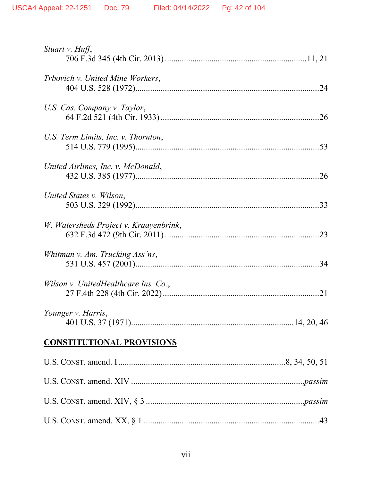| Stuart v. Huff,                        |    |
|----------------------------------------|----|
| Trbovich v. United Mine Workers,       |    |
| U.S. Cas. Company v. Taylor,           |    |
| U.S. Term Limits, Inc. v. Thornton,    |    |
| United Airlines, Inc. v. McDonald,     |    |
| United States v. Wilson,               |    |
| W. Watersheds Project v. Kraayenbrink, |    |
| Whitman v. Am. Trucking Ass'ns,        |    |
| Wilson v. UnitedHealthcare Ins. Co.,   | 21 |
| Younger v. Harris,                     |    |
| <b>CONSTITUTIONAL PROVISIONS</b>       |    |
|                                        |    |
|                                        |    |
|                                        |    |
|                                        |    |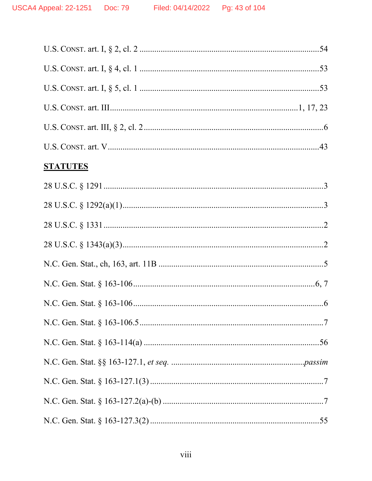| <b>STATUTES</b> |
|-----------------|
|                 |
|                 |
|                 |
|                 |
|                 |
|                 |
|                 |
|                 |
|                 |
|                 |
|                 |
|                 |
|                 |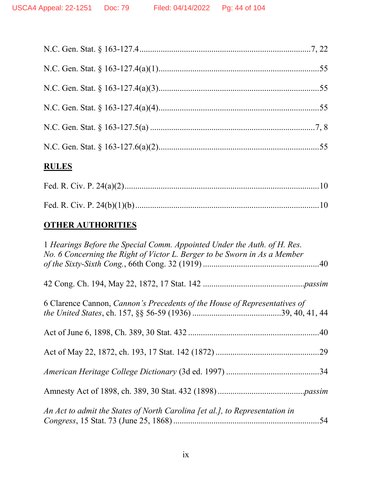# **RULES**

# **OTHER AUTHORITIES**

| 1 Hearings Before the Special Comm. Appointed Under the Auth. of H. Res.<br>No. 6 Concerning the Right of Victor L. Berger to be Sworn in As a Member |  |
|-------------------------------------------------------------------------------------------------------------------------------------------------------|--|
|                                                                                                                                                       |  |
| 6 Clarence Cannon, <i>Cannon's Precedents of the House of Representatives of</i>                                                                      |  |
|                                                                                                                                                       |  |
|                                                                                                                                                       |  |
|                                                                                                                                                       |  |
|                                                                                                                                                       |  |
| An Act to admit the States of North Carolina [et al.], to Representation in                                                                           |  |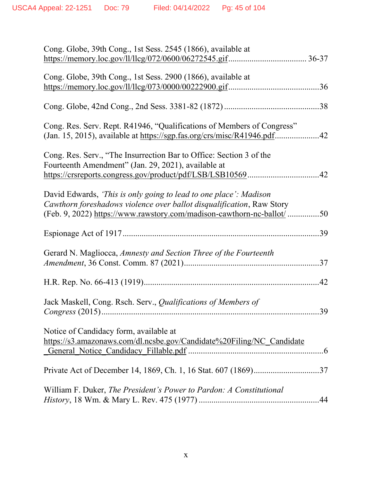| Cong. Globe, 39th Cong., 1st Sess. 2545 (1866), available at<br>https://memory.loc.gov/ll/llcg/072/0600/06272545.gif |     |
|----------------------------------------------------------------------------------------------------------------------|-----|
|                                                                                                                      |     |
| Cong. Globe, 39th Cong., 1st Sess. 2900 (1866), available at                                                         |     |
|                                                                                                                      | .36 |
|                                                                                                                      |     |
| Cong. Res. Serv. Rept. R41946, "Qualifications of Members of Congress"                                               |     |
|                                                                                                                      |     |
|                                                                                                                      |     |
| Cong. Res. Serv., "The Insurrection Bar to Office: Section 3 of the                                                  |     |
| Fourteenth Amendment" (Jan. 29, 2021), available at                                                                  |     |
|                                                                                                                      |     |
| David Edwards, 'This is only going to lead to one place': Madison                                                    |     |
| Cawthorn foreshadows violence over ballot disqualification, Raw Story                                                |     |
| (Feb. 9, 2022) https://www.rawstory.com/madison-cawthorn-nc-ballot/                                                  | .50 |
|                                                                                                                      | 39  |
|                                                                                                                      |     |
| Gerard N. Magliocca, Amnesty and Section Three of the Fourteenth                                                     | 37  |
|                                                                                                                      |     |
|                                                                                                                      |     |
|                                                                                                                      |     |
| Jack Maskell, Cong. Rsch. Serv., Qualifications of Members of                                                        |     |
|                                                                                                                      | 39  |
| Notice of Candidacy form, available at                                                                               |     |
| https://s3.amazonaws.com/dl.ncsbe.gov/Candidate%20Filing/NC Candidate                                                |     |
|                                                                                                                      |     |
|                                                                                                                      |     |
|                                                                                                                      |     |
| William F. Duker, <i>The President's Power to Pardon: A Constitutional</i>                                           |     |
|                                                                                                                      |     |
|                                                                                                                      |     |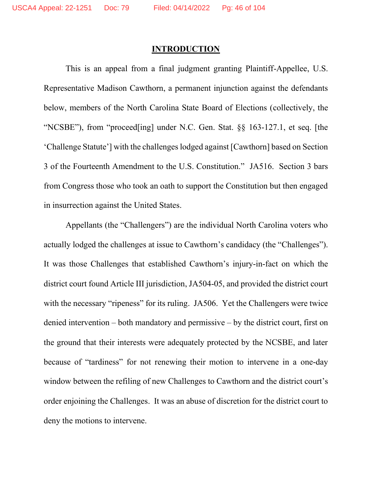## **INTRODUCTION**

This is an appeal from a final judgment granting Plaintiff-Appellee, U.S. Representative Madison Cawthorn, a permanent injunction against the defendants below, members of the North Carolina State Board of Elections (collectively, the "NCSBE"), from "proceed[ing] under N.C. Gen. Stat. §§ 163-127.1, et seq. [the 'Challenge Statute'] with the challenges lodged against [Cawthorn] based on Section 3 of the Fourteenth Amendment to the U.S. Constitution." JA516. Section 3 bars from Congress those who took an oath to support the Constitution but then engaged in insurrection against the United States.

Appellants (the "Challengers") are the individual North Carolina voters who actually lodged the challenges at issue to Cawthorn's candidacy (the "Challenges"). It was those Challenges that established Cawthorn's injury-in-fact on which the district court found Article III jurisdiction, JA504-05, and provided the district court with the necessary "ripeness" for its ruling. JA506. Yet the Challengers were twice denied intervention – both mandatory and permissive – by the district court, first on the ground that their interests were adequately protected by the NCSBE, and later because of "tardiness" for not renewing their motion to intervene in a one-day window between the refiling of new Challenges to Cawthorn and the district court's order enjoining the Challenges. It was an abuse of discretion for the district court to deny the motions to intervene.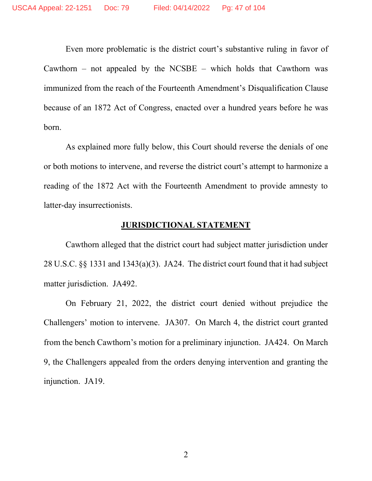Even more problematic is the district court's substantive ruling in favor of Cawthorn – not appealed by the NCSBE – which holds that Cawthorn was immunized from the reach of the Fourteenth Amendment's Disqualification Clause because of an 1872 Act of Congress, enacted over a hundred years before he was born.

As explained more fully below, this Court should reverse the denials of one or both motions to intervene, and reverse the district court's attempt to harmonize a reading of the 1872 Act with the Fourteenth Amendment to provide amnesty to latter-day insurrectionists.

#### **JURISDICTIONAL STATEMENT**

Cawthorn alleged that the district court had subject matter jurisdiction under 28 U.S.C. §§ 1331 and 1343(a)(3). JA24. The district court found that it had subject matter jurisdiction. JA492.

On February 21, 2022, the district court denied without prejudice the Challengers' motion to intervene. JA307. On March 4, the district court granted from the bench Cawthorn's motion for a preliminary injunction. JA424. On March 9, the Challengers appealed from the orders denying intervention and granting the injunction. JA19.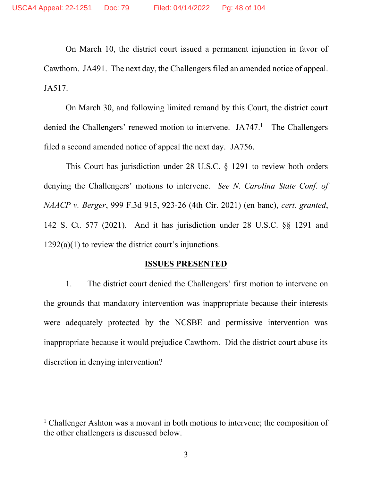On March 10, the district court issued a permanent injunction in favor of Cawthorn. JA491. The next day, the Challengers filed an amended notice of appeal. JA517.

On March 30, and following limited remand by this Court, the district court denied the Challengers' renewed motion to intervene. JA747.<sup>1</sup> The Challengers filed a second amended notice of appeal the next day. JA756.

This Court has jurisdiction under 28 U.S.C. § 1291 to review both orders denying the Challengers' motions to intervene. *See N. Carolina State Conf. of NAACP v. Berger*, 999 F.3d 915, 923-26 (4th Cir. 2021) (en banc), *cert. granted*, 142 S. Ct. 577 (2021). And it has jurisdiction under 28 U.S.C. §§ 1291 and  $1292(a)(1)$  to review the district court's injunctions.

#### **ISSUES PRESENTED**

1. The district court denied the Challengers' first motion to intervene on the grounds that mandatory intervention was inappropriate because their interests were adequately protected by the NCSBE and permissive intervention was inappropriate because it would prejudice Cawthorn. Did the district court abuse its discretion in denying intervention?

<sup>&</sup>lt;sup>1</sup> Challenger Ashton was a movant in both motions to intervene; the composition of the other challengers is discussed below.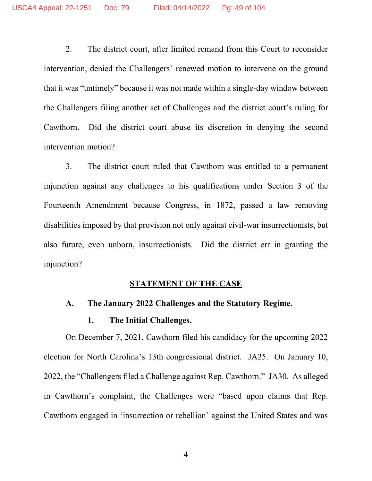2. The district court, after limited remand from this Court to reconsider intervention, denied the Challengers' renewed motion to intervene on the ground that it was "untimely" because it was not made within a single-day window between the Challengers filing another set of Challenges and the district court's ruling for Cawthorn. Did the district court abuse its discretion in denying the second intervention motion?

3. The district court ruled that Cawthorn was entitled to a permanent injunction against any challenges to his qualifications under Section 3 of the Fourteenth Amendment because Congress, in 1872, passed a law removing disabilities imposed by that provision not only against civil-war insurrectionists, but also future, even unborn, insurrectionists. Did the district err in granting the injunction?

#### **STATEMENT OF THE CASE**

## **A. The January 2022 Challenges and the Statutory Regime.**

### **1. The Initial Challenges.**

On December 7, 2021, Cawthorn filed his candidacy for the upcoming 2022 election for North Carolina's 13th congressional district. JA25. On January 10, 2022, the "Challengers filed a Challenge against Rep. Cawthorn." JA30. As alleged in Cawthorn's complaint, the Challenges were "based upon claims that Rep. Cawthorn engaged in 'insurrection or rebellion' against the United States and was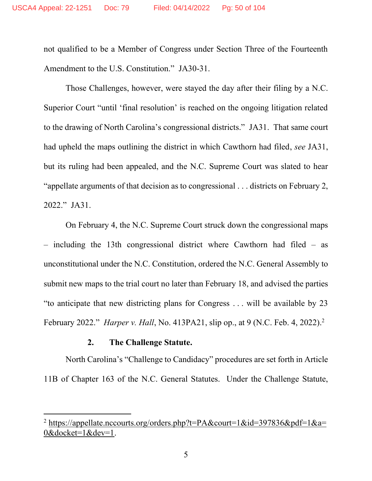not qualified to be a Member of Congress under Section Three of the Fourteenth Amendment to the U.S. Constitution." JA30-31.

Those Challenges, however, were stayed the day after their filing by a N.C. Superior Court "until 'final resolution' is reached on the ongoing litigation related to the drawing of North Carolina's congressional districts." JA31. That same court had upheld the maps outlining the district in which Cawthorn had filed, *see* JA31, but its ruling had been appealed, and the N.C. Supreme Court was slated to hear "appellate arguments of that decision as to congressional . . . districts on February 2, 2022." JA31.

On February 4, the N.C. Supreme Court struck down the congressional maps – including the 13th congressional district where Cawthorn had filed – as unconstitutional under the N.C. Constitution, ordered the N.C. General Assembly to submit new maps to the trial court no later than February 18, and advised the parties "to anticipate that new districting plans for Congress . . . will be available by 23 February 2022." *Harper v. Hall*, No. 413PA21, slip op., at 9 (N.C. Feb. 4, 2022).<sup>2</sup>

#### **2. The Challenge Statute.**

North Carolina's "Challenge to Candidacy" procedures are set forth in Article 11B of Chapter 163 of the N.C. General Statutes. Under the Challenge Statute,

<sup>&</sup>lt;sup>2</sup> [https://appellate.nccourts.org/orders.php?t=PA&court=1&id=397836&pdf=1&a=](https://appellate.nccourts.org/orders.php?t=PA&court=1&id=397836&pdf=1&a=0&docket=1&dev=1) [0&docket=1&dev=1.](https://appellate.nccourts.org/orders.php?t=PA&court=1&id=397836&pdf=1&a=0&docket=1&dev=1)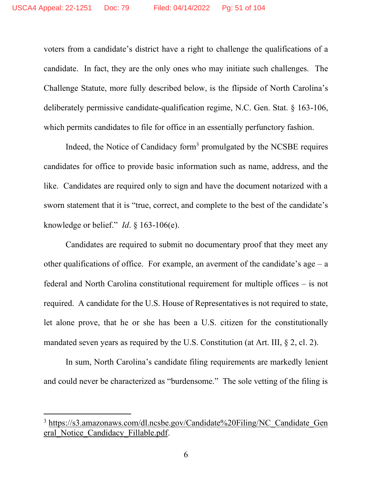voters from a candidate's district have a right to challenge the qualifications of a candidate. In fact, they are the only ones who may initiate such challenges. The Challenge Statute, more fully described below, is the flipside of North Carolina's deliberately permissive candidate-qualification regime, N.C. Gen. Stat. § 163-106, which permits candidates to file for office in an essentially perfunctory fashion.

Indeed, the Notice of Candidacy form<sup>3</sup> promulgated by the NCSBE requires candidates for office to provide basic information such as name, address, and the like. Candidates are required only to sign and have the document notarized with a sworn statement that it is "true, correct, and complete to the best of the candidate's knowledge or belief." *Id*. § 163-106(e).

Candidates are required to submit no documentary proof that they meet any other qualifications of office. For example, an averment of the candidate's age  $-$  a federal and North Carolina constitutional requirement for multiple offices – is not required. A candidate for the U.S. House of Representatives is not required to state, let alone prove, that he or she has been a U.S. citizen for the constitutionally mandated seven years as required by the U.S. Constitution (at Art. III, § 2, cl. 2).

In sum, North Carolina's candidate filing requirements are markedly lenient and could never be characterized as "burdensome." The sole vetting of the filing is

<sup>&</sup>lt;sup>3</sup> [https://s3.amazonaws.com/dl.ncsbe.gov/Candidate%20Filing/NC\\_Candidate\\_Gen](https://s3.amazonaws.com/dl.ncsbe.gov/Candidate%20Filing/NC_Candidate_General_Notice_Candidacy_Fillable.pdf) [eral\\_Notice\\_Candidacy\\_Fillable.pdf.](https://s3.amazonaws.com/dl.ncsbe.gov/Candidate%20Filing/NC_Candidate_General_Notice_Candidacy_Fillable.pdf)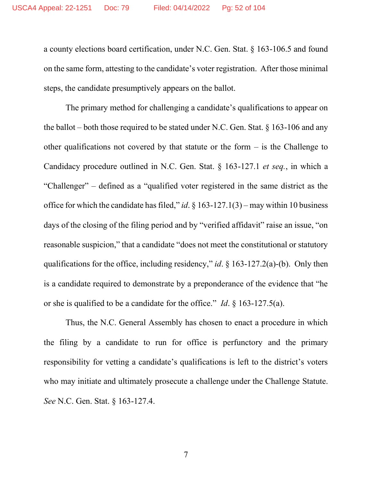a county elections board certification, under N.C. Gen. Stat. § 163-106.5 and found on the same form, attesting to the candidate's voter registration. After those minimal steps, the candidate presumptively appears on the ballot.

The primary method for challenging a candidate's qualifications to appear on the ballot – both those required to be stated under N.C. Gen. Stat. § 163-106 and any other qualifications not covered by that statute or the form – is the Challenge to Candidacy procedure outlined in N.C. Gen. Stat. § 163-127.1 *et seq.*, in which a "Challenger" – defined as a "qualified voter registered in the same district as the office for which the candidate has filed," *id*. § 163-127.1(3) – may within 10 business days of the closing of the filing period and by "verified affidavit" raise an issue, "on reasonable suspicion," that a candidate "does not meet the constitutional or statutory qualifications for the office, including residency," *id*. § 163-127.2(a)-(b). Only then is a candidate required to demonstrate by a preponderance of the evidence that "he or she is qualified to be a candidate for the office." *Id*. § 163-127.5(a).

Thus, the N.C. General Assembly has chosen to enact a procedure in which the filing by a candidate to run for office is perfunctory and the primary responsibility for vetting a candidate's qualifications is left to the district's voters who may initiate and ultimately prosecute a challenge under the Challenge Statute. *See* N.C. Gen. Stat. § 163-127.4.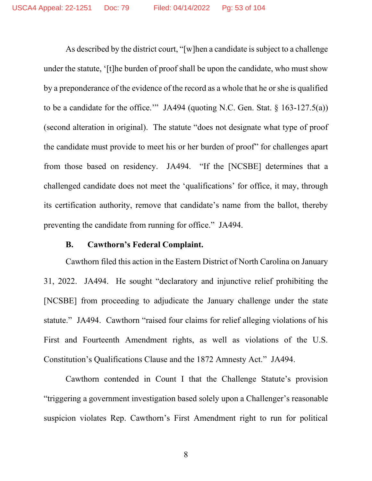As described by the district court, "[w]hen a candidate is subject to a challenge under the statute, '[t]he burden of proof shall be upon the candidate, who must show by a preponderance of the evidence of the record as a whole that he or she is qualified to be a candidate for the office.'" JA494 (quoting N.C. Gen. Stat.  $\S$  163-127.5(a)) (second alteration in original). The statute "does not designate what type of proof the candidate must provide to meet his or her burden of proof" for challenges apart from those based on residency. JA494. "If the [NCSBE] determines that a challenged candidate does not meet the 'qualifications' for office, it may, through its certification authority, remove that candidate's name from the ballot, thereby preventing the candidate from running for office." JA494.

#### **B. Cawthorn's Federal Complaint.**

Cawthorn filed this action in the Eastern District of North Carolina on January 31, 2022. JA494. He sought "declaratory and injunctive relief prohibiting the [NCSBE] from proceeding to adjudicate the January challenge under the state statute." JA494. Cawthorn "raised four claims for relief alleging violations of his First and Fourteenth Amendment rights, as well as violations of the U.S. Constitution's Qualifications Clause and the 1872 Amnesty Act." JA494.

Cawthorn contended in Count I that the Challenge Statute's provision "triggering a government investigation based solely upon a Challenger's reasonable suspicion violates Rep. Cawthorn's First Amendment right to run for political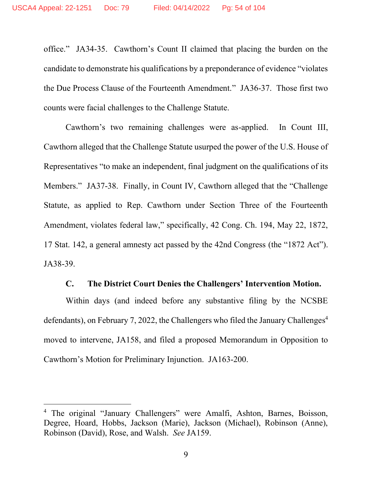office." JA34-35. Cawthorn's Count II claimed that placing the burden on the candidate to demonstrate his qualifications by a preponderance of evidence "violates the Due Process Clause of the Fourteenth Amendment." JA36-37. Those first two counts were facial challenges to the Challenge Statute.

Cawthorn's two remaining challenges were as-applied. In Count III, Cawthorn alleged that the Challenge Statute usurped the power of the U.S. House of Representatives "to make an independent, final judgment on the qualifications of its Members." JA37-38. Finally, in Count IV, Cawthorn alleged that the "Challenge Statute, as applied to Rep. Cawthorn under Section Three of the Fourteenth Amendment, violates federal law," specifically, 42 Cong. Ch. 194, May 22, 1872, 17 Stat. 142, a general amnesty act passed by the 42nd Congress (the "1872 Act"). JA38-39.

### **C. The District Court Denies the Challengers' Intervention Motion.**

Within days (and indeed before any substantive filing by the NCSBE defendants), on February 7, 2022, the Challengers who filed the January Challenges 4 moved to intervene, JA158, and filed a proposed Memorandum in Opposition to Cawthorn's Motion for Preliminary Injunction. JA163-200.

<sup>4</sup> The original "January Challengers" were Amalfi, Ashton, Barnes, Boisson, Degree, Hoard, Hobbs, Jackson (Marie), Jackson (Michael), Robinson (Anne), Robinson (David), Rose, and Walsh. *See* JA159.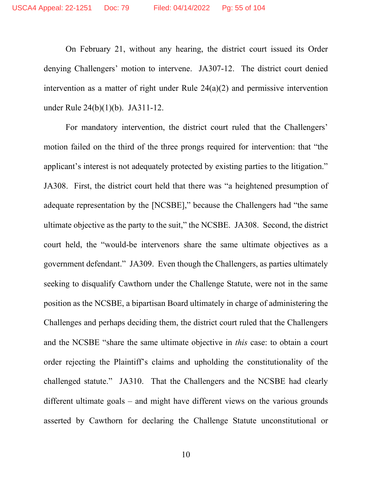On February 21, without any hearing, the district court issued its Order denying Challengers' motion to intervene. JA307-12. The district court denied intervention as a matter of right under Rule 24(a)(2) and permissive intervention under Rule 24(b)(1)(b). JA311-12.

For mandatory intervention, the district court ruled that the Challengers' motion failed on the third of the three prongs required for intervention: that "the applicant's interest is not adequately protected by existing parties to the litigation." JA308. First, the district court held that there was "a heightened presumption of adequate representation by the [NCSBE]," because the Challengers had "the same ultimate objective as the party to the suit," the NCSBE. JA308. Second, the district court held, the "would-be intervenors share the same ultimate objectives as a government defendant." JA309. Even though the Challengers, as parties ultimately seeking to disqualify Cawthorn under the Challenge Statute, were not in the same position as the NCSBE, a bipartisan Board ultimately in charge of administering the Challenges and perhaps deciding them, the district court ruled that the Challengers and the NCSBE "share the same ultimate objective in *this* case: to obtain a court order rejecting the Plaintiff's claims and upholding the constitutionality of the challenged statute." JA310. That the Challengers and the NCSBE had clearly different ultimate goals – and might have different views on the various grounds asserted by Cawthorn for declaring the Challenge Statute unconstitutional or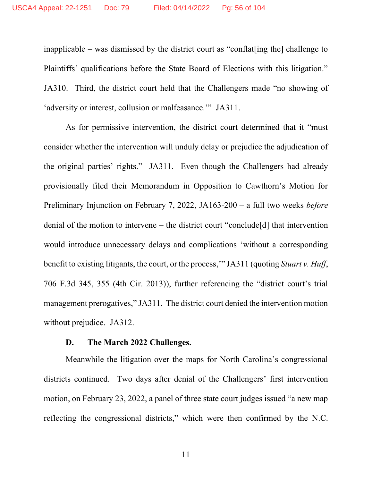inapplicable – was dismissed by the district court as "conflat[ing the] challenge to Plaintiffs' qualifications before the State Board of Elections with this litigation." JA310. Third, the district court held that the Challengers made "no showing of 'adversity or interest, collusion or malfeasance.'" JA311.

As for permissive intervention, the district court determined that it "must consider whether the intervention will unduly delay or prejudice the adjudication of the original parties' rights." JA311. Even though the Challengers had already provisionally filed their Memorandum in Opposition to Cawthorn's Motion for Preliminary Injunction on February 7, 2022, JA163-200 – a full two weeks *before* denial of the motion to intervene – the district court "conclude[d] that intervention would introduce unnecessary delays and complications 'without a corresponding benefit to existing litigants, the court, or the process,'" JA311 (quoting *Stuart v. Huff*, 706 F.3d 345, 355 (4th Cir. 2013)), further referencing the "district court's trial management prerogatives," JA311. The district court denied the intervention motion without prejudice. JA312.

#### **D. The March 2022 Challenges.**

Meanwhile the litigation over the maps for North Carolina's congressional districts continued. Two days after denial of the Challengers' first intervention motion, on February 23, 2022, a panel of three state court judges issued "a new map reflecting the congressional districts," which were then confirmed by the N.C.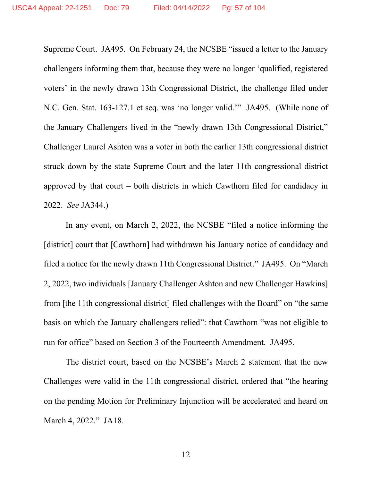Supreme Court. JA495. On February 24, the NCSBE "issued a letter to the January challengers informing them that, because they were no longer 'qualified, registered voters' in the newly drawn 13th Congressional District, the challenge filed under N.C. Gen. Stat. 163-127.1 et seq. was 'no longer valid.'" JA495. (While none of the January Challengers lived in the "newly drawn 13th Congressional District," Challenger Laurel Ashton was a voter in both the earlier 13th congressional district struck down by the state Supreme Court and the later 11th congressional district approved by that court – both districts in which Cawthorn filed for candidacy in 2022. *See* JA344.)

In any event, on March 2, 2022, the NCSBE "filed a notice informing the [district] court that [Cawthorn] had withdrawn his January notice of candidacy and filed a notice for the newly drawn 11th Congressional District." JA495. On "March 2, 2022, two individuals [January Challenger Ashton and new Challenger Hawkins] from [the 11th congressional district] filed challenges with the Board" on "the same basis on which the January challengers relied": that Cawthorn "was not eligible to run for office" based on Section 3 of the Fourteenth Amendment. JA495.

The district court, based on the NCSBE's March 2 statement that the new Challenges were valid in the 11th congressional district, ordered that "the hearing on the pending Motion for Preliminary Injunction will be accelerated and heard on March 4, 2022." JA18.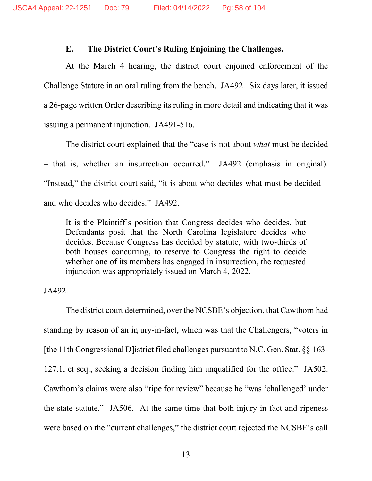### **E. The District Court's Ruling Enjoining the Challenges.**

At the March 4 hearing, the district court enjoined enforcement of the Challenge Statute in an oral ruling from the bench. JA492. Six days later, it issued a 26-page written Order describing its ruling in more detail and indicating that it was issuing a permanent injunction. JA491-516.

The district court explained that the "case is not about *what* must be decided – that is, whether an insurrection occurred." JA492 (emphasis in original). "Instead," the district court said, "it is about who decides what must be decided – and who decides who decides." JA492.

It is the Plaintiff's position that Congress decides who decides, but Defendants posit that the North Carolina legislature decides who decides. Because Congress has decided by statute, with two-thirds of both houses concurring, to reserve to Congress the right to decide whether one of its members has engaged in insurrection, the requested injunction was appropriately issued on March 4, 2022.

#### JA492.

The district court determined, over the NCSBE's objection, that Cawthorn had standing by reason of an injury-in-fact, which was that the Challengers, "voters in [the 11th Congressional D]istrict filed challenges pursuant to N.C. Gen. Stat. §§ 163- 127.1, et seq., seeking a decision finding him unqualified for the office." JA502. Cawthorn's claims were also "ripe for review" because he "was 'challenged' under the state statute." JA506. At the same time that both injury-in-fact and ripeness were based on the "current challenges," the district court rejected the NCSBE's call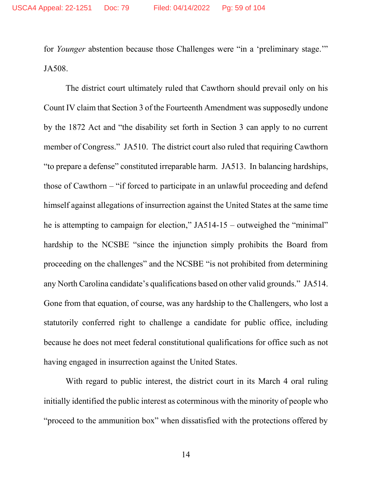for *Younger* abstention because those Challenges were "in a 'preliminary stage.'" JA508.

The district court ultimately ruled that Cawthorn should prevail only on his Count IV claim that Section 3 of the Fourteenth Amendment was supposedly undone by the 1872 Act and "the disability set forth in Section 3 can apply to no current member of Congress." JA510. The district court also ruled that requiring Cawthorn "to prepare a defense" constituted irreparable harm. JA513. In balancing hardships, those of Cawthorn – "if forced to participate in an unlawful proceeding and defend himself against allegations of insurrection against the United States at the same time he is attempting to campaign for election," JA514-15 – outweighed the "minimal" hardship to the NCSBE "since the injunction simply prohibits the Board from proceeding on the challenges" and the NCSBE "is not prohibited from determining any North Carolina candidate's qualifications based on other valid grounds." JA514. Gone from that equation, of course, was any hardship to the Challengers, who lost a statutorily conferred right to challenge a candidate for public office, including because he does not meet federal constitutional qualifications for office such as not having engaged in insurrection against the United States.

With regard to public interest, the district court in its March 4 oral ruling initially identified the public interest as coterminous with the minority of people who "proceed to the ammunition box" when dissatisfied with the protections offered by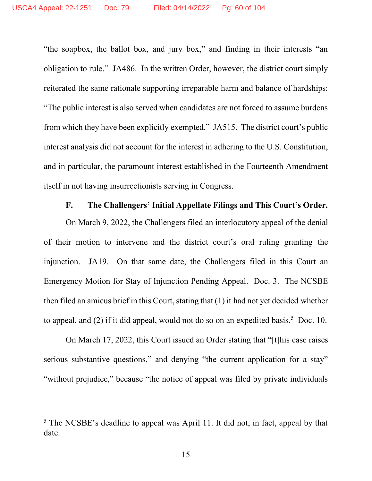"the soapbox, the ballot box, and jury box," and finding in their interests "an obligation to rule." JA486. In the written Order, however, the district court simply reiterated the same rationale supporting irreparable harm and balance of hardships: "The public interest is also served when candidates are not forced to assume burdens from which they have been explicitly exempted." JA515. The district court's public interest analysis did not account for the interest in adhering to the U.S. Constitution, and in particular, the paramount interest established in the Fourteenth Amendment itself in not having insurrectionists serving in Congress.

## **F. The Challengers' Initial Appellate Filings and This Court's Order.**

On March 9, 2022, the Challengers filed an interlocutory appeal of the denial of their motion to intervene and the district court's oral ruling granting the injunction. JA19. On that same date, the Challengers filed in this Court an Emergency Motion for Stay of Injunction Pending Appeal. Doc. 3. The NCSBE then filed an amicus brief in this Court, stating that  $(1)$  it had not yet decided whether to appeal, and (2) if it did appeal, would not do so on an expedited basis.<sup>5</sup> Doc. 10.

On March 17, 2022, this Court issued an Order stating that "[t]his case raises serious substantive questions," and denying "the current application for a stay" "without prejudice," because "the notice of appeal was filed by private individuals

<sup>5</sup> The NCSBE's deadline to appeal was April 11. It did not, in fact, appeal by that date.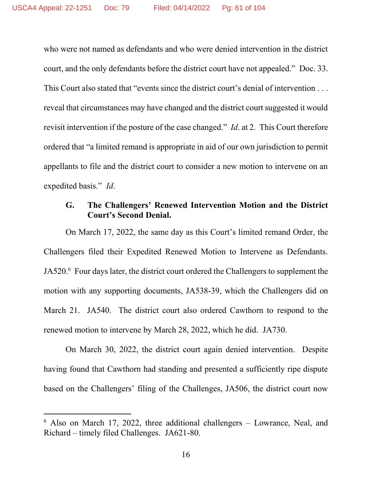who were not named as defendants and who were denied intervention in the district court, and the only defendants before the district court have not appealed." Doc. 33. This Court also stated that "events since the district court's denial of intervention . . . reveal that circumstances may have changed and the district court suggested it would revisit intervention if the posture of the case changed." *Id*. at 2. This Court therefore ordered that "a limited remand is appropriate in aid of our own jurisdiction to permit appellants to file and the district court to consider a new motion to intervene on an expedited basis." *Id*.

## **G. The Challengers' Renewed Intervention Motion and the District Court's Second Denial.**

On March 17, 2022, the same day as this Court's limited remand Order, the Challengers filed their Expedited Renewed Motion to Intervene as Defendants. JA520.<sup>6</sup> Four days later, the district court ordered the Challengers to supplement the motion with any supporting documents, JA538-39, which the Challengers did on March 21. JA540. The district court also ordered Cawthorn to respond to the renewed motion to intervene by March 28, 2022, which he did. JA730.

On March 30, 2022, the district court again denied intervention. Despite having found that Cawthorn had standing and presented a sufficiently ripe dispute based on the Challengers' filing of the Challenges, JA506, the district court now

<sup>6</sup> Also on March 17, 2022, three additional challengers – Lowrance, Neal, and Richard – timely filed Challenges. JA621-80.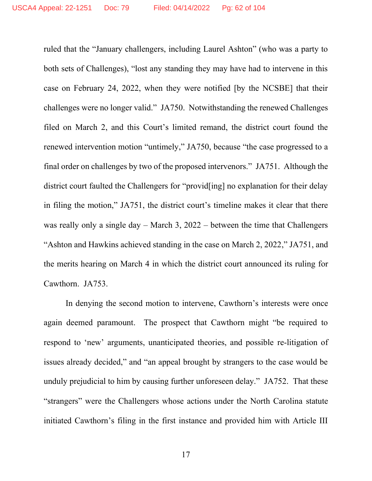ruled that the "January challengers, including Laurel Ashton" (who was a party to both sets of Challenges), "lost any standing they may have had to intervene in this case on February 24, 2022, when they were notified [by the NCSBE] that their challenges were no longer valid." JA750. Notwithstanding the renewed Challenges filed on March 2, and this Court's limited remand, the district court found the renewed intervention motion "untimely," JA750, because "the case progressed to a final order on challenges by two of the proposed intervenors." JA751. Although the district court faulted the Challengers for "provid[ing] no explanation for their delay in filing the motion," JA751, the district court's timeline makes it clear that there was really only a single day – March 3, 2022 – between the time that Challengers "Ashton and Hawkins achieved standing in the case on March 2, 2022," JA751, and the merits hearing on March 4 in which the district court announced its ruling for Cawthorn. JA753.

In denying the second motion to intervene, Cawthorn's interests were once again deemed paramount. The prospect that Cawthorn might "be required to respond to 'new' arguments, unanticipated theories, and possible re-litigation of issues already decided," and "an appeal brought by strangers to the case would be unduly prejudicial to him by causing further unforeseen delay." JA752. That these "strangers" were the Challengers whose actions under the North Carolina statute initiated Cawthorn's filing in the first instance and provided him with Article III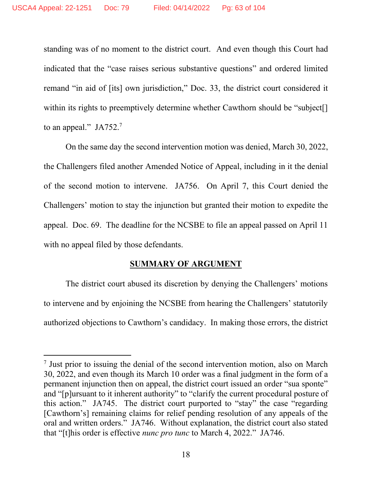standing was of no moment to the district court. And even though this Court had indicated that the "case raises serious substantive questions" and ordered limited remand "in aid of [its] own jurisdiction," Doc. 33, the district court considered it within its rights to preemptively determine whether Cawthorn should be "subject[] to an appeal." JA752.<sup>7</sup>

On the same day the second intervention motion was denied, March 30, 2022, the Challengers filed another Amended Notice of Appeal, including in it the denial of the second motion to intervene. JA756. On April 7, this Court denied the Challengers' motion to stay the injunction but granted their motion to expedite the appeal. Doc. 69. The deadline for the NCSBE to file an appeal passed on April 11 with no appeal filed by those defendants.

### **SUMMARY OF ARGUMENT**

The district court abused its discretion by denying the Challengers' motions to intervene and by enjoining the NCSBE from hearing the Challengers' statutorily authorized objections to Cawthorn's candidacy. In making those errors, the district

<sup>&</sup>lt;sup>7</sup> Just prior to issuing the denial of the second intervention motion, also on March 30, 2022, and even though its March 10 order was a final judgment in the form of a permanent injunction then on appeal, the district court issued an order "sua sponte" and "[p]ursuant to it inherent authority" to "clarify the current procedural posture of this action." JA745. The district court purported to "stay" the case "regarding [Cawthorn's] remaining claims for relief pending resolution of any appeals of the oral and written orders." JA746. Without explanation, the district court also stated that "[t]his order is effective *nunc pro tunc* to March 4, 2022." JA746.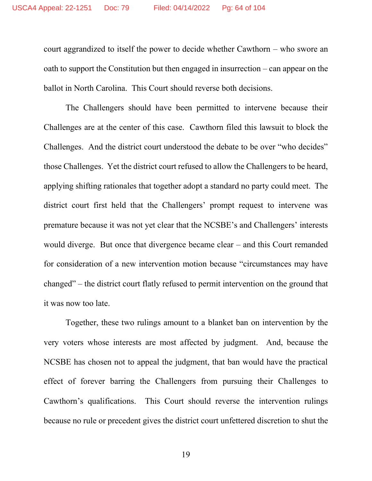court aggrandized to itself the power to decide whether Cawthorn – who swore an oath to support the Constitution but then engaged in insurrection – can appear on the ballot in North Carolina. This Court should reverse both decisions.

The Challengers should have been permitted to intervene because their Challenges are at the center of this case. Cawthorn filed this lawsuit to block the Challenges. And the district court understood the debate to be over "who decides" those Challenges. Yet the district court refused to allow the Challengers to be heard, applying shifting rationales that together adopt a standard no party could meet. The district court first held that the Challengers' prompt request to intervene was premature because it was not yet clear that the NCSBE's and Challengers' interests would diverge. But once that divergence became clear – and this Court remanded for consideration of a new intervention motion because "circumstances may have changed" – the district court flatly refused to permit intervention on the ground that it was now too late.

Together, these two rulings amount to a blanket ban on intervention by the very voters whose interests are most affected by judgment. And, because the NCSBE has chosen not to appeal the judgment, that ban would have the practical effect of forever barring the Challengers from pursuing their Challenges to Cawthorn's qualifications. This Court should reverse the intervention rulings because no rule or precedent gives the district court unfettered discretion to shut the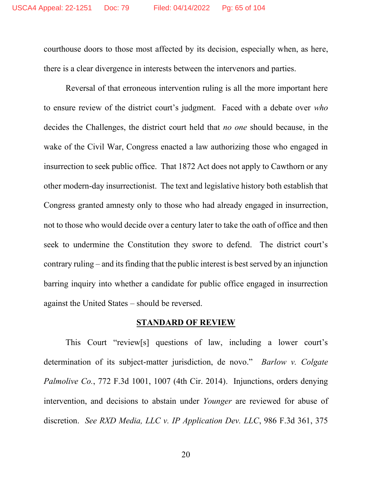courthouse doors to those most affected by its decision, especially when, as here, there is a clear divergence in interests between the intervenors and parties.

Reversal of that erroneous intervention ruling is all the more important here to ensure review of the district court's judgment. Faced with a debate over *who* decides the Challenges, the district court held that *no one* should because, in the wake of the Civil War, Congress enacted a law authorizing those who engaged in insurrection to seek public office. That 1872 Act does not apply to Cawthorn or any other modern-day insurrectionist. The text and legislative history both establish that Congress granted amnesty only to those who had already engaged in insurrection, not to those who would decide over a century later to take the oath of office and then seek to undermine the Constitution they swore to defend. The district court's contrary ruling – and its finding that the public interest is best served by an injunction barring inquiry into whether a candidate for public office engaged in insurrection against the United States – should be reversed.

#### **STANDARD OF REVIEW**

This Court "review[s] questions of law, including a lower court's determination of its subject-matter jurisdiction, de novo." *Barlow v. Colgate Palmolive Co.*, 772 F.3d 1001, 1007 (4th Cir. 2014). Injunctions, orders denying intervention, and decisions to abstain under *Younger* are reviewed for abuse of discretion. *See RXD Media, LLC v. IP Application Dev. LLC*, 986 F.3d 361, 375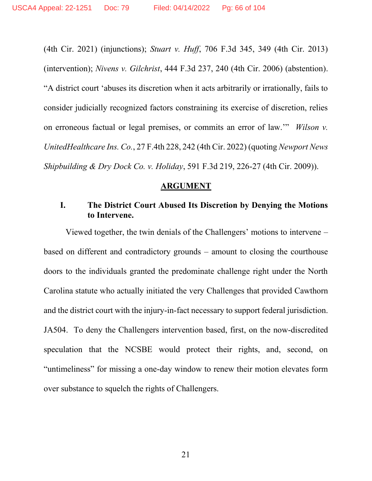(4th Cir. 2021) (injunctions); *Stuart v. Huff*, 706 F.3d 345, 349 (4th Cir. 2013) (intervention); *Nivens v. Gilchrist*, 444 F.3d 237, 240 (4th Cir. 2006) (abstention). "A district court 'abuses its discretion when it acts arbitrarily or irrationally, fails to consider judicially recognized factors constraining its exercise of discretion, relies on erroneous factual or legal premises, or commits an error of law.'" *Wilson v. UnitedHealthcare Ins. Co.*, 27 F.4th 228, 242 (4th Cir. 2022) (quoting *Newport News Shipbuilding & Dry Dock Co. v. Holiday*, 591 F.3d 219, 226-27 (4th Cir. 2009)).

#### **ARGUMENT**

## **I. The District Court Abused Its Discretion by Denying the Motions to Intervene.**

Viewed together, the twin denials of the Challengers' motions to intervene – based on different and contradictory grounds – amount to closing the courthouse doors to the individuals granted the predominate challenge right under the North Carolina statute who actually initiated the very Challenges that provided Cawthorn and the district court with the injury-in-fact necessary to support federal jurisdiction. JA504. To deny the Challengers intervention based, first, on the now-discredited speculation that the NCSBE would protect their rights, and, second, on "untimeliness" for missing a one-day window to renew their motion elevates form over substance to squelch the rights of Challengers.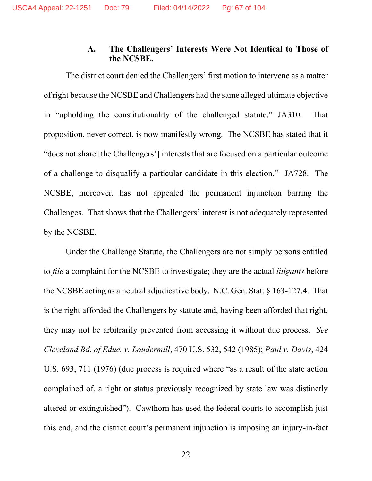## **A. The Challengers' Interests Were Not Identical to Those of the NCSBE.**

The district court denied the Challengers' first motion to intervene as a matter of right because the NCSBE and Challengers had the same alleged ultimate objective in "upholding the constitutionality of the challenged statute." JA310. That proposition, never correct, is now manifestly wrong. The NCSBE has stated that it "does not share [the Challengers'] interests that are focused on a particular outcome of a challenge to disqualify a particular candidate in this election." JA728. The NCSBE, moreover, has not appealed the permanent injunction barring the Challenges. That shows that the Challengers' interest is not adequately represented by the NCSBE.

Under the Challenge Statute, the Challengers are not simply persons entitled to *file* a complaint for the NCSBE to investigate; they are the actual *litigants* before the NCSBE acting as a neutral adjudicative body. N.C. Gen. Stat. § 163-127.4. That is the right afforded the Challengers by statute and, having been afforded that right, they may not be arbitrarily prevented from accessing it without due process. *See Cleveland Bd. of Educ. v. Loudermill*, 470 U.S. 532, 542 (1985); *Paul v. Davis*, 424 U.S. 693, 711 (1976) (due process is required where "as a result of the state action complained of, a right or status previously recognized by state law was distinctly altered or extinguished"). Cawthorn has used the federal courts to accomplish just this end, and the district court's permanent injunction is imposing an injury-in-fact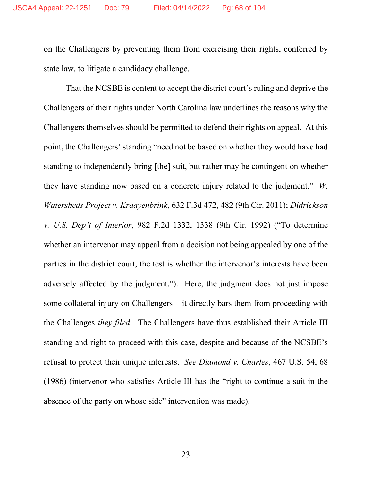on the Challengers by preventing them from exercising their rights, conferred by state law, to litigate a candidacy challenge.

That the NCSBE is content to accept the district court's ruling and deprive the Challengers of their rights under North Carolina law underlines the reasons why the Challengers themselves should be permitted to defend their rights on appeal. At this point, the Challengers' standing "need not be based on whether they would have had standing to independently bring [the] suit, but rather may be contingent on whether they have standing now based on a concrete injury related to the judgment." *W. Watersheds Project v. Kraayenbrink*, 632 F.3d 472, 482 (9th Cir. 2011); *Didrickson v. U.S. Dep't of Interior*, 982 F.2d 1332, 1338 (9th Cir. 1992) ("To determine whether an intervenor may appeal from a decision not being appealed by one of the parties in the district court, the test is whether the intervenor's interests have been adversely affected by the judgment."). Here, the judgment does not just impose some collateral injury on Challengers – it directly bars them from proceeding with the Challenges *they filed*. The Challengers have thus established their Article III standing and right to proceed with this case, despite and because of the NCSBE's refusal to protect their unique interests. *See Diamond v. Charles*, 467 U.S. 54, 68 (1986) (intervenor who satisfies Article III has the "right to continue a suit in the absence of the party on whose side" intervention was made).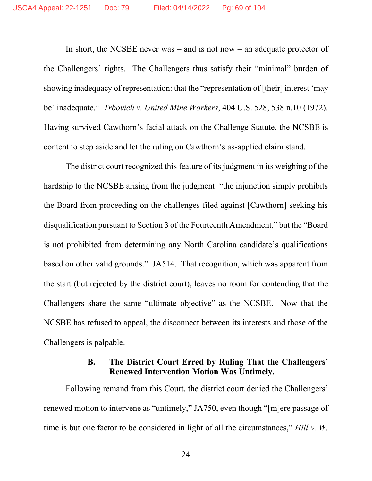In short, the NCSBE never was – and is not now – an adequate protector of the Challengers' rights. The Challengers thus satisfy their "minimal" burden of showing inadequacy of representation: that the "representation of [their] interest 'may be' inadequate." *Trbovich v. United Mine Workers*, 404 U.S. 528, 538 n.10 (1972). Having survived Cawthorn's facial attack on the Challenge Statute, the NCSBE is content to step aside and let the ruling on Cawthorn's as-applied claim stand.

The district court recognized this feature of its judgment in its weighing of the hardship to the NCSBE arising from the judgment: "the injunction simply prohibits the Board from proceeding on the challenges filed against [Cawthorn] seeking his disqualification pursuant to Section 3 of the Fourteenth Amendment," but the "Board is not prohibited from determining any North Carolina candidate's qualifications based on other valid grounds." JA514. That recognition, which was apparent from the start (but rejected by the district court), leaves no room for contending that the Challengers share the same "ultimate objective" as the NCSBE. Now that the NCSBE has refused to appeal, the disconnect between its interests and those of the Challengers is palpable.

## **B. The District Court Erred by Ruling That the Challengers' Renewed Intervention Motion Was Untimely.**

Following remand from this Court, the district court denied the Challengers' renewed motion to intervene as "untimely," JA750, even though "[m]ere passage of time is but one factor to be considered in light of all the circumstances," *Hill v. W.*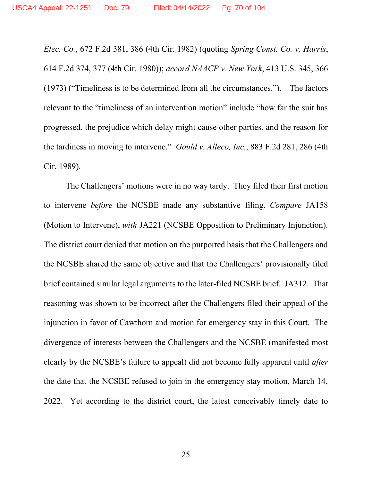*Elec. Co.*, 672 F.2d 381, 386 (4th Cir. 1982) (quoting *Spring Const. Co. v. Harris*, 614 F.2d 374, 377 (4th Cir. 1980)); *accord NAACP v. New York*, 413 U.S. 345, 366 (1973) ("Timeliness is to be determined from all the circumstances."). The factors relevant to the "timeliness of an intervention motion" include "how far the suit has progressed, the prejudice which delay might cause other parties, and the reason for the tardiness in moving to intervene." *Gould v. Alleco, Inc.*, 883 F.2d 281, 286 (4th Cir. 1989).

The Challengers' motions were in no way tardy. They filed their first motion to intervene *before* the NCSBE made any substantive filing. *Compare* JA158 (Motion to Intervene), *with* JA221 (NCSBE Opposition to Preliminary Injunction). The district court denied that motion on the purported basis that the Challengers and the NCSBE shared the same objective and that the Challengers' provisionally filed brief contained similar legal arguments to the later-filed NCSBE brief. JA312. That reasoning was shown to be incorrect after the Challengers filed their appeal of the injunction in favor of Cawthorn and motion for emergency stay in this Court. The divergence of interests between the Challengers and the NCSBE (manifested most clearly by the NCSBE's failure to appeal) did not become fully apparent until *after* the date that the NCSBE refused to join in the emergency stay motion, March 14, 2022. Yet according to the district court, the latest conceivably timely date to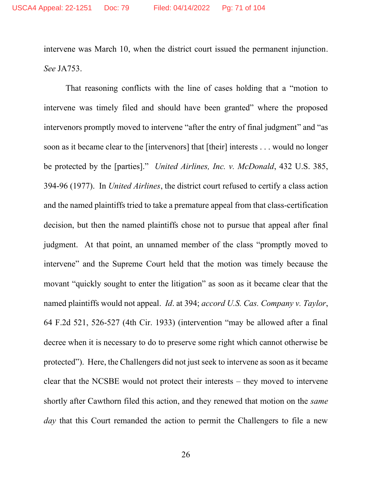intervene was March 10, when the district court issued the permanent injunction. *See* JA753.

That reasoning conflicts with the line of cases holding that a "motion to intervene was timely filed and should have been granted" where the proposed intervenors promptly moved to intervene "after the entry of final judgment" and "as soon as it became clear to the [intervenors] that [their] interests . . . would no longer be protected by the [parties]." *United Airlines, Inc. v. McDonald*, 432 U.S. 385, 394-96 (1977). In *United Airlines*, the district court refused to certify a class action and the named plaintiffs tried to take a premature appeal from that class-certification decision, but then the named plaintiffs chose not to pursue that appeal after final judgment. At that point, an unnamed member of the class "promptly moved to intervene" and the Supreme Court held that the motion was timely because the movant "quickly sought to enter the litigation" as soon as it became clear that the named plaintiffs would not appeal. *Id*. at 394; *accord U.S. Cas. Company v. Taylor*, 64 F.2d 521, 526-527 (4th Cir. 1933) (intervention "may be allowed after a final decree when it is necessary to do to preserve some right which cannot otherwise be protected"). Here, the Challengers did not just seek to intervene as soon as it became clear that the NCSBE would not protect their interests – they moved to intervene shortly after Cawthorn filed this action, and they renewed that motion on the *same day* that this Court remanded the action to permit the Challengers to file a new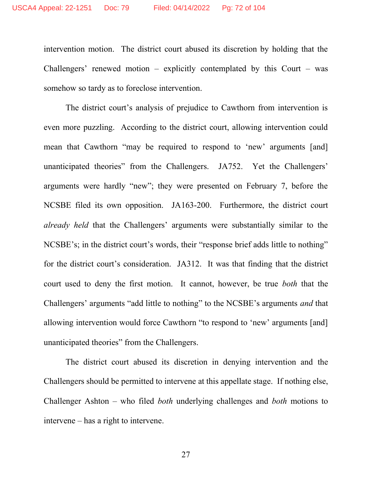intervention motion. The district court abused its discretion by holding that the Challengers' renewed motion – explicitly contemplated by this Court – was somehow so tardy as to foreclose intervention.

The district court's analysis of prejudice to Cawthorn from intervention is even more puzzling. According to the district court, allowing intervention could mean that Cawthorn "may be required to respond to 'new' arguments [and] unanticipated theories" from the Challengers. JA752. Yet the Challengers' arguments were hardly "new"; they were presented on February 7, before the NCSBE filed its own opposition. JA163-200. Furthermore, the district court *already held* that the Challengers' arguments were substantially similar to the NCSBE's; in the district court's words, their "response brief adds little to nothing" for the district court's consideration. JA312. It was that finding that the district court used to deny the first motion. It cannot, however, be true *both* that the Challengers' arguments "add little to nothing" to the NCSBE's arguments *and* that allowing intervention would force Cawthorn "to respond to 'new' arguments [and] unanticipated theories" from the Challengers.

The district court abused its discretion in denying intervention and the Challengers should be permitted to intervene at this appellate stage. If nothing else, Challenger Ashton – who filed *both* underlying challenges and *both* motions to intervene – has a right to intervene.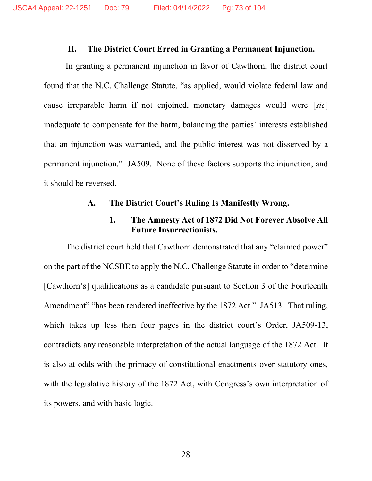#### **II. The District Court Erred in Granting a Permanent Injunction.**

In granting a permanent injunction in favor of Cawthorn, the district court found that the N.C. Challenge Statute, "as applied, would violate federal law and cause irreparable harm if not enjoined, monetary damages would were [*sic*] inadequate to compensate for the harm, balancing the parties' interests established that an injunction was warranted, and the public interest was not disserved by a permanent injunction." JA509. None of these factors supports the injunction, and it should be reversed.

#### **A. The District Court's Ruling Is Manifestly Wrong.**

### **1. The Amnesty Act of 1872 Did Not Forever Absolve All Future Insurrectionists.**

The district court held that Cawthorn demonstrated that any "claimed power" on the part of the NCSBE to apply the N.C. Challenge Statute in order to "determine [Cawthorn's] qualifications as a candidate pursuant to Section 3 of the Fourteenth Amendment" "has been rendered ineffective by the 1872 Act." JA513. That ruling, which takes up less than four pages in the district court's Order, JA509-13, contradicts any reasonable interpretation of the actual language of the 1872 Act. It is also at odds with the primacy of constitutional enactments over statutory ones, with the legislative history of the 1872 Act, with Congress's own interpretation of its powers, and with basic logic.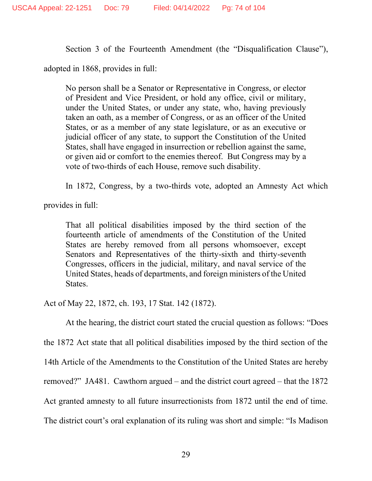Section 3 of the Fourteenth Amendment (the "Disqualification Clause"),

adopted in 1868, provides in full:

No person shall be a Senator or Representative in Congress, or elector of President and Vice President, or hold any office, civil or military, under the United States, or under any state, who, having previously taken an oath, as a member of Congress, or as an officer of the United States, or as a member of any state legislature, or as an executive or judicial officer of any state, to support the Constitution of the United States, shall have engaged in insurrection or rebellion against the same, or given aid or comfort to the enemies thereof. But Congress may by a vote of two-thirds of each House, remove such disability.

In 1872, Congress, by a two-thirds vote, adopted an Amnesty Act which

provides in full:

That all political disabilities imposed by the third section of the fourteenth article of amendments of the Constitution of the United States are hereby removed from all persons whomsoever, except Senators and Representatives of the thirty-sixth and thirty-seventh Congresses, officers in the judicial, military, and naval service of the United States, heads of departments, and foreign ministers of the United States.

Act of May 22, 1872, ch. 193, 17 Stat. 142 (1872).

At the hearing, the district court stated the crucial question as follows: "Does

the 1872 Act state that all political disabilities imposed by the third section of the

14th Article of the Amendments to the Constitution of the United States are hereby

removed?" JA481. Cawthorn argued – and the district court agreed – that the 1872

Act granted amnesty to all future insurrectionists from 1872 until the end of time.

The district court's oral explanation of its ruling was short and simple: "Is Madison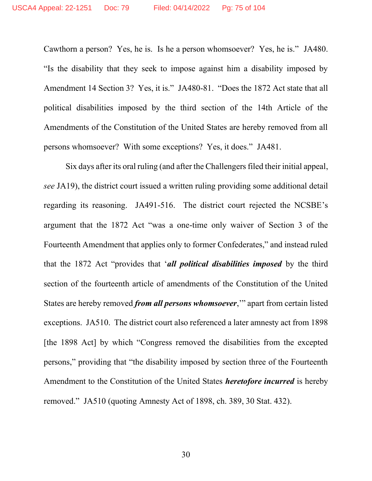Cawthorn a person? Yes, he is. Is he a person whomsoever? Yes, he is." JA480. "Is the disability that they seek to impose against him a disability imposed by Amendment 14 Section 3? Yes, it is." JA480-81. "Does the 1872 Act state that all political disabilities imposed by the third section of the 14th Article of the Amendments of the Constitution of the United States are hereby removed from all persons whomsoever? With some exceptions? Yes, it does." JA481.

Six days after its oral ruling (and after the Challengers filed their initial appeal, *see* JA19), the district court issued a written ruling providing some additional detail regarding its reasoning. JA491-516. The district court rejected the NCSBE's argument that the 1872 Act "was a one-time only waiver of Section 3 of the Fourteenth Amendment that applies only to former Confederates," and instead ruled that the 1872 Act "provides that '*all political disabilities imposed* by the third section of the fourteenth article of amendments of the Constitution of the United States are hereby removed *from all persons whomsoever*,'" apart from certain listed exceptions. JA510. The district court also referenced a later amnesty act from 1898 [the 1898 Act] by which "Congress removed the disabilities from the excepted persons," providing that "the disability imposed by section three of the Fourteenth Amendment to the Constitution of the United States *heretofore incurred* is hereby removed." JA510 (quoting Amnesty Act of 1898, ch. 389, 30 Stat. 432).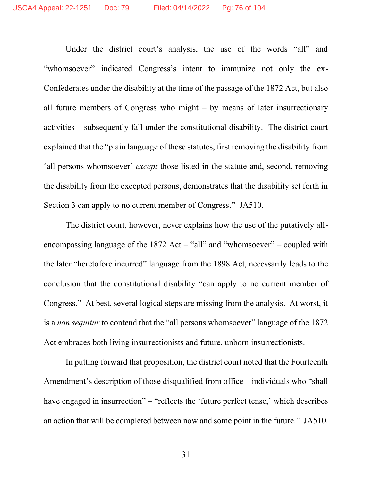Under the district court's analysis, the use of the words "all" and "whomsoever" indicated Congress's intent to immunize not only the ex-Confederates under the disability at the time of the passage of the 1872 Act, but also all future members of Congress who might – by means of later insurrectionary activities – subsequently fall under the constitutional disability. The district court explained that the "plain language of these statutes, first removing the disability from 'all persons whomsoever' *except* those listed in the statute and, second, removing the disability from the excepted persons, demonstrates that the disability set forth in Section 3 can apply to no current member of Congress." JA510.

The district court, however, never explains how the use of the putatively allencompassing language of the 1872 Act – "all" and "whomsoever" – coupled with the later "heretofore incurred" language from the 1898 Act, necessarily leads to the conclusion that the constitutional disability "can apply to no current member of Congress." At best, several logical steps are missing from the analysis. At worst, it is a *non sequitur* to contend that the "all persons whomsoever" language of the 1872 Act embraces both living insurrectionists and future, unborn insurrectionists.

In putting forward that proposition, the district court noted that the Fourteenth Amendment's description of those disqualified from office – individuals who "shall have engaged in insurrection" – "reflects the 'future perfect tense,' which describes an action that will be completed between now and some point in the future." JA510.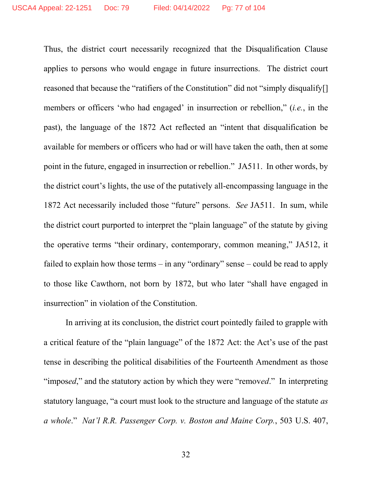Thus, the district court necessarily recognized that the Disqualification Clause applies to persons who would engage in future insurrections. The district court reasoned that because the "ratifiers of the Constitution" did not "simply disqualify[] members or officers 'who had engaged' in insurrection or rebellion," (*i.e.*, in the past), the language of the 1872 Act reflected an "intent that disqualification be available for members or officers who had or will have taken the oath, then at some point in the future, engaged in insurrection or rebellion." JA511. In other words, by the district court's lights, the use of the putatively all-encompassing language in the 1872 Act necessarily included those "future" persons. *See* JA511. In sum, while the district court purported to interpret the "plain language" of the statute by giving the operative terms "their ordinary, contemporary, common meaning," JA512, it failed to explain how those terms – in any "ordinary" sense – could be read to apply to those like Cawthorn, not born by 1872, but who later "shall have engaged in insurrection" in violation of the Constitution.

In arriving at its conclusion, the district court pointedly failed to grapple with a critical feature of the "plain language" of the 1872 Act: the Act's use of the past tense in describing the political disabilities of the Fourteenth Amendment as those "impos*ed*," and the statutory action by which they were "remov*ed*." In interpreting statutory language, "a court must look to the structure and language of the statute *as a whole*." *Nat'l R.R. Passenger Corp. v. Boston and Maine Corp.*, 503 U.S. 407,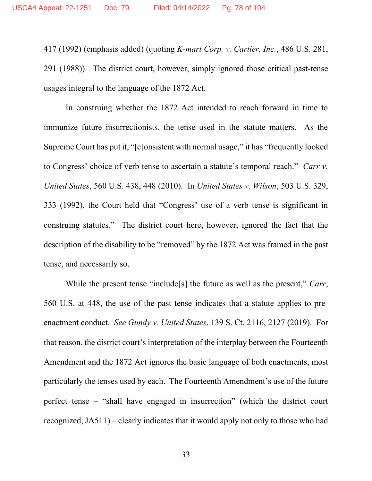417 (1992) (emphasis added) (quoting *K-mart Corp. v. Cartier, Inc.*, 486 U.S. 281, 291 (1988)). The district court, however, simply ignored those critical past-tense usages integral to the language of the 1872 Act.

In construing whether the 1872 Act intended to reach forward in time to immunize future insurrectionists, the tense used in the statute matters. As the Supreme Court has put it, "[c]onsistent with normal usage," it has "frequently looked to Congress' choice of verb tense to ascertain a statute's temporal reach." *Carr v. United States*, 560 U.S. 438, 448 (2010). In *United States v. Wilson*, 503 U.S. 329, 333 (1992), the Court held that "Congress' use of a verb tense is significant in construing statutes." The district court here, however, ignored the fact that the description of the disability to be "removed" by the 1872 Act was framed in the past tense, and necessarily so.

While the present tense "include[s] the future as well as the present," *Carr*, 560 U.S. at 448, the use of the past tense indicates that a statute applies to preenactment conduct. *See Gundy v. United States*, 139 S. Ct. 2116, 2127 (2019). For that reason, the district court's interpretation of the interplay between the Fourteenth Amendment and the 1872 Act ignores the basic language of both enactments, most particularly the tenses used by each. The Fourteenth Amendment's use of the future perfect tense – "shall have engaged in insurrection" (which the district court recognized, JA511) – clearly indicates that it would apply not only to those who had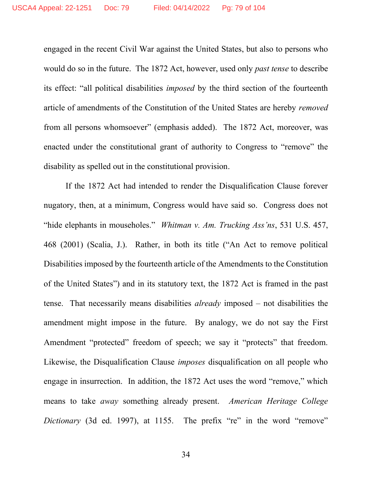engaged in the recent Civil War against the United States, but also to persons who would do so in the future. The 1872 Act, however, used only *past tense* to describe its effect: "all political disabilities *imposed* by the third section of the fourteenth article of amendments of the Constitution of the United States are hereby *removed* from all persons whomsoever" (emphasis added). The 1872 Act, moreover, was enacted under the constitutional grant of authority to Congress to "remove" the disability as spelled out in the constitutional provision.

If the 1872 Act had intended to render the Disqualification Clause forever nugatory, then, at a minimum, Congress would have said so. Congress does not "hide elephants in mouseholes." *Whitman v. Am. Trucking Ass'ns*, 531 U.S. 457, 468 (2001) (Scalia, J.). Rather, in both its title ("An Act to remove political Disabilities imposed by the fourteenth article of the Amendments to the Constitution of the United States") and in its statutory text, the 1872 Act is framed in the past tense. That necessarily means disabilities *already* imposed – not disabilities the amendment might impose in the future. By analogy, we do not say the First Amendment "protected" freedom of speech; we say it "protects" that freedom. Likewise, the Disqualification Clause *imposes* disqualification on all people who engage in insurrection. In addition, the 1872 Act uses the word "remove," which means to take *away* something already present. *American Heritage College Dictionary* (3d ed. 1997), at 1155. The prefix "re" in the word "remove"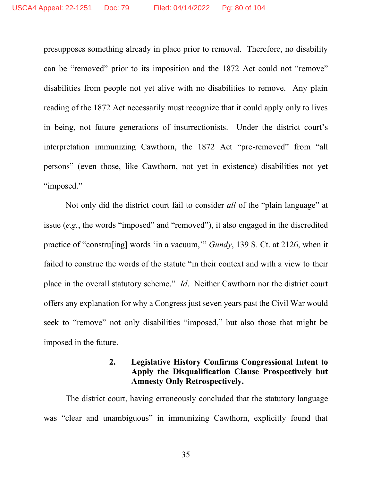presupposes something already in place prior to removal. Therefore, no disability can be "removed" prior to its imposition and the 1872 Act could not "remove" disabilities from people not yet alive with no disabilities to remove. Any plain reading of the 1872 Act necessarily must recognize that it could apply only to lives in being, not future generations of insurrectionists. Under the district court's interpretation immunizing Cawthorn, the 1872 Act "pre-removed" from "all persons" (even those, like Cawthorn, not yet in existence) disabilities not yet "imposed."

Not only did the district court fail to consider *all* of the "plain language" at issue (*e.g.*, the words "imposed" and "removed"), it also engaged in the discredited practice of "constru[ing] words 'in a vacuum,'" *Gundy*, 139 S. Ct. at 2126, when it failed to construe the words of the statute "in their context and with a view to their place in the overall statutory scheme." *Id*. Neither Cawthorn nor the district court offers any explanation for why a Congress just seven years past the Civil War would seek to "remove" not only disabilities "imposed," but also those that might be imposed in the future.

# **2. Legislative History Confirms Congressional Intent to Apply the Disqualification Clause Prospectively but Amnesty Only Retrospectively.**

The district court, having erroneously concluded that the statutory language was "clear and unambiguous" in immunizing Cawthorn, explicitly found that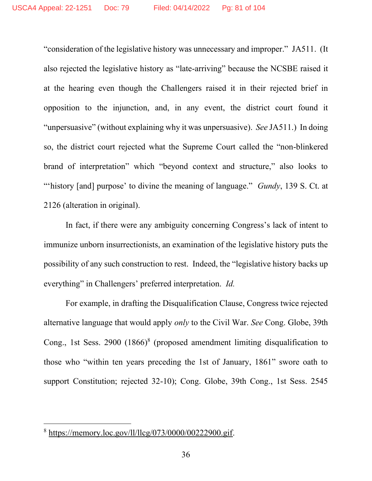"consideration of the legislative history was unnecessary and improper." JA511. (It also rejected the legislative history as "late-arriving" because the NCSBE raised it at the hearing even though the Challengers raised it in their rejected brief in opposition to the injunction, and, in any event, the district court found it "unpersuasive" (without explaining why it was unpersuasive). *See* JA511.) In doing so, the district court rejected what the Supreme Court called the "non-blinkered brand of interpretation" which "beyond context and structure," also looks to "'history [and] purpose' to divine the meaning of language." *Gundy*, 139 S. Ct. at 2126 (alteration in original).

In fact, if there were any ambiguity concerning Congress's lack of intent to immunize unborn insurrectionists, an examination of the legislative history puts the possibility of any such construction to rest. Indeed, the "legislative history backs up everything" in Challengers' preferred interpretation. *Id.*

For example, in drafting the Disqualification Clause, Congress twice rejected alternative language that would apply *only* to the Civil War. *See* Cong. Globe, 39th Cong., 1st Sess. 2900 (1866)<sup>8</sup> (proposed amendment limiting disqualification to those who "within ten years preceding the 1st of January, 1861" swore oath to support Constitution; rejected 32-10); Cong. Globe, 39th Cong., 1st Sess. 2545

<sup>8</sup> [https://memory.loc.gov/ll/llcg/073/0000/00222900.gif.](https://memory.loc.gov/ll/llcg/073/0000/00222900.gif)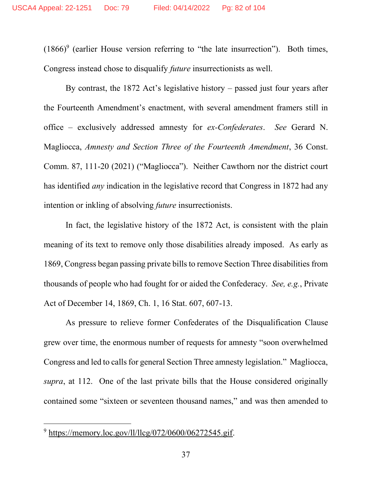$(1866)^9$  (earlier House version referring to "the late insurrection"). Both times, Congress instead chose to disqualify *future* insurrectionists as well.

By contrast, the 1872 Act's legislative history – passed just four years after the Fourteenth Amendment's enactment, with several amendment framers still in office – exclusively addressed amnesty for *ex-Confederates*. *See* Gerard N. Magliocca, *Amnesty and Section Three of the Fourteenth Amendment*, 36 Const. Comm. 87, 111-20 (2021) ("Magliocca"). Neither Cawthorn nor the district court has identified *any* indication in the legislative record that Congress in 1872 had any intention or inkling of absolving *future* insurrectionists.

In fact, the legislative history of the 1872 Act, is consistent with the plain meaning of its text to remove only those disabilities already imposed. As early as 1869, Congress began passing private bills to remove Section Three disabilities from thousands of people who had fought for or aided the Confederacy. *See, e.g.*, Private Act of December 14, 1869, Ch. 1, 16 Stat. 607, 607-13.

As pressure to relieve former Confederates of the Disqualification Clause grew over time, the enormous number of requests for amnesty "soon overwhelmed Congress and led to calls for general Section Three amnesty legislation." Magliocca, *supra*, at 112. One of the last private bills that the House considered originally contained some "sixteen or seventeen thousand names," and was then amended to

<sup>9</sup> [https://memory.loc.gov/ll/llcg/072/0600/06272545.gif.](https://memory.loc.gov/ll/llcg/072/0600/06272545.gif)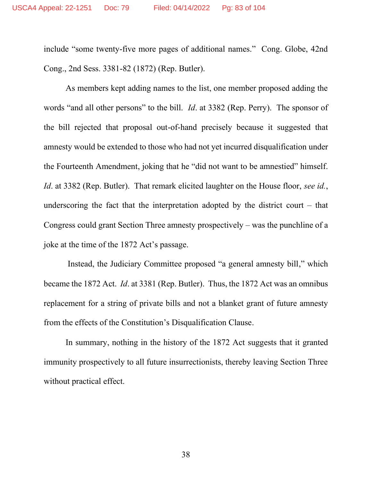include "some twenty-five more pages of additional names." Cong. Globe, 42nd Cong., 2nd Sess. 3381-82 (1872) (Rep. Butler).

As members kept adding names to the list, one member proposed adding the words "and all other persons" to the bill. *Id*. at 3382 (Rep. Perry). The sponsor of the bill rejected that proposal out-of-hand precisely because it suggested that amnesty would be extended to those who had not yet incurred disqualification under the Fourteenth Amendment, joking that he "did not want to be amnestied" himself. *Id*. at 3382 (Rep. Butler). That remark elicited laughter on the House floor, *see id.*, underscoring the fact that the interpretation adopted by the district court – that Congress could grant Section Three amnesty prospectively – was the punchline of a joke at the time of the 1872 Act's passage.

Instead, the Judiciary Committee proposed "a general amnesty bill," which became the 1872 Act. *Id*. at 3381 (Rep. Butler). Thus, the 1872 Act was an omnibus replacement for a string of private bills and not a blanket grant of future amnesty from the effects of the Constitution's Disqualification Clause.

In summary, nothing in the history of the 1872 Act suggests that it granted immunity prospectively to all future insurrectionists, thereby leaving Section Three without practical effect.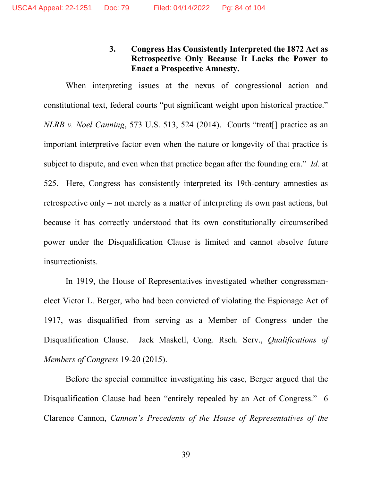# **3. Congress Has Consistently Interpreted the 1872 Act as Retrospective Only Because It Lacks the Power to Enact a Prospective Amnesty.**

When interpreting issues at the nexus of congressional action and constitutional text, federal courts "put significant weight upon historical practice." *NLRB v. Noel Canning*, 573 U.S. 513, 524 (2014). Courts "treat[] practice as an important interpretive factor even when the nature or longevity of that practice is subject to dispute, and even when that practice began after the founding era." *Id.* at 525. Here, Congress has consistently interpreted its 19th-century amnesties as retrospective only – not merely as a matter of interpreting its own past actions, but because it has correctly understood that its own constitutionally circumscribed power under the Disqualification Clause is limited and cannot absolve future insurrectionists.

In 1919, the House of Representatives investigated whether congressmanelect Victor L. Berger, who had been convicted of violating the Espionage Act of 1917, was disqualified from serving as a Member of Congress under the Disqualification Clause. Jack Maskell, Cong. Rsch. Serv., *Qualifications of Members of Congress* 19-20 (2015).

Before the special committee investigating his case, Berger argued that the Disqualification Clause had been "entirely repealed by an Act of Congress." 6 Clarence Cannon, *Cannon's Precedents of the House of Representatives of the*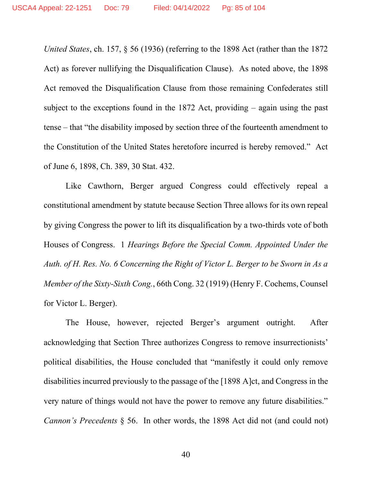*United States*, ch. 157, § 56 (1936) (referring to the 1898 Act (rather than the 1872 Act) as forever nullifying the Disqualification Clause). As noted above, the 1898 Act removed the Disqualification Clause from those remaining Confederates still subject to the exceptions found in the 1872 Act, providing – again using the past tense – that "the disability imposed by section three of the fourteenth amendment to the Constitution of the United States heretofore incurred is hereby removed." Act of June 6, 1898, Ch. 389, 30 Stat. 432.

Like Cawthorn, Berger argued Congress could effectively repeal a constitutional amendment by statute because Section Three allows for its own repeal by giving Congress the power to lift its disqualification by a two-thirds vote of both Houses of Congress. 1 *Hearings Before the Special Comm. Appointed Under the Auth. of H. Res. No. 6 Concerning the Right of Victor L. Berger to be Sworn in As a Member of the Sixty-Sixth Cong.*, 66th Cong. 32 (1919) (Henry F. Cochems, Counsel for Victor L. Berger).

The House, however, rejected Berger's argument outright. After acknowledging that Section Three authorizes Congress to remove insurrectionists' political disabilities, the House concluded that "manifestly it could only remove disabilities incurred previously to the passage of the [1898 A]ct, and Congress in the very nature of things would not have the power to remove any future disabilities." *Cannon's Precedents* § 56. In other words, the 1898 Act did not (and could not)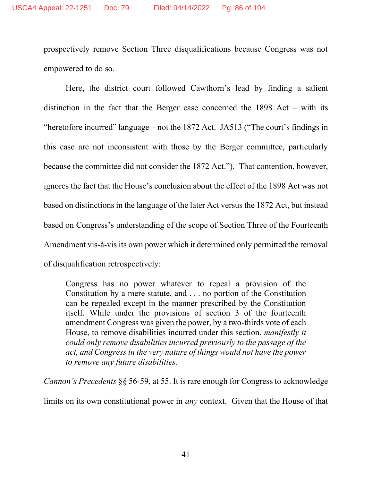prospectively remove Section Three disqualifications because Congress was not empowered to do so.

Here, the district court followed Cawthorn's lead by finding a salient distinction in the fact that the Berger case concerned the 1898 Act – with its "heretofore incurred" language – not the 1872 Act. JA513 ("The court's findings in this case are not inconsistent with those by the Berger committee, particularly because the committee did not consider the 1872 Act."). That contention, however, ignores the fact that the House's conclusion about the effect of the 1898 Act was not based on distinctions in the language of the later Act versus the 1872 Act, but instead based on Congress's understanding of the scope of Section Three of the Fourteenth Amendment vis-à-vis its own power which it determined only permitted the removal of disqualification retrospectively:

Congress has no power whatever to repeal a provision of the Constitution by a mere statute, and . . . no portion of the Constitution can be repealed except in the manner prescribed by the Constitution itself. While under the provisions of section 3 of the fourteenth amendment Congress was given the power, by a two-thirds vote of each House, to remove disabilities incurred under this section, *manifestly it could only remove disabilities incurred previously to the passage of the act, and Congress in the very nature of things would not have the power to remove any future disabilities*.

*Cannon's Precedents* §§ 56-59, at 55. It is rare enough for Congress to acknowledge limits on its own constitutional power in *any* context. Given that the House of that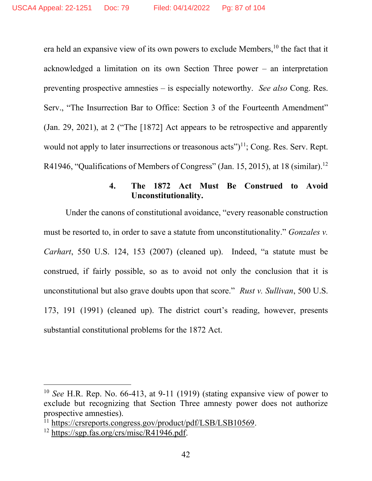era held an expansive view of its own powers to exclude Members,<sup>10</sup> the fact that it acknowledged a limitation on its own Section Three power – an interpretation preventing prospective amnesties – is especially noteworthy. *See also* Cong. Res. Serv., "The Insurrection Bar to Office: Section 3 of the Fourteenth Amendment" (Jan. 29, 2021), at 2 ("The [1872] Act appears to be retrospective and apparently would not apply to later insurrections or treasonous acts" $]$ <sup>11</sup>; Cong. Res. Serv. Rept. R41946, "Qualifications of Members of Congress" (Jan. 15, 2015), at 18 (similar).<sup>12</sup>

## **4. The 1872 Act Must Be Construed to Avoid Unconstitutionality.**

Under the canons of constitutional avoidance, "every reasonable construction must be resorted to, in order to save a statute from unconstitutionality." *Gonzales v. Carhart*, 550 U.S. 124, 153 (2007) (cleaned up). Indeed, "a statute must be construed, if fairly possible, so as to avoid not only the conclusion that it is unconstitutional but also grave doubts upon that score." *Rust v. Sullivan*, 500 U.S. 173, 191 (1991) (cleaned up). The district court's reading, however, presents substantial constitutional problems for the 1872 Act.

<sup>10</sup> *See* H.R. Rep. No. 66-413, at 9-11 (1919) (stating expansive view of power to exclude but recognizing that Section Three amnesty power does not authorize prospective amnesties).

<sup>&</sup>lt;sup>11</sup> [https://crsreports.congress.gov/product/pdf/LSB/LSB10569.](https://crsreports.congress.gov/product/pdf/LSB/LSB10569)

<sup>&</sup>lt;sup>12</sup> [https://sgp.fas.org/crs/misc/R41946.pdf.](https://sgp.fas.org/crs/misc/R41946.pdf)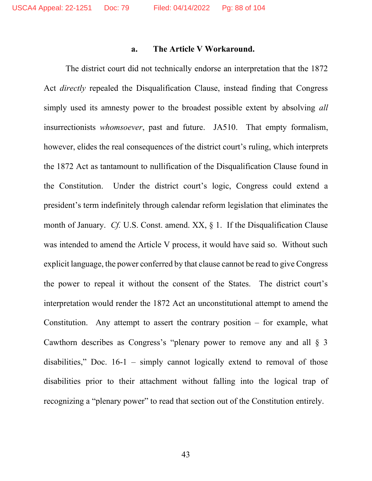## **a. The Article V Workaround.**

The district court did not technically endorse an interpretation that the 1872 Act *directly* repealed the Disqualification Clause, instead finding that Congress simply used its amnesty power to the broadest possible extent by absolving *all* insurrectionists *whomsoever*, past and future. JA510. That empty formalism, however, elides the real consequences of the district court's ruling, which interprets the 1872 Act as tantamount to nullification of the Disqualification Clause found in the Constitution. Under the district court's logic, Congress could extend a president's term indefinitely through calendar reform legislation that eliminates the month of January. *Cf.* U.S. Const. amend. XX, § 1. If the Disqualification Clause was intended to amend the Article V process, it would have said so. Without such explicit language, the power conferred by that clause cannot be read to give Congress the power to repeal it without the consent of the States. The district court's interpretation would render the 1872 Act an unconstitutional attempt to amend the Constitution. Any attempt to assert the contrary position – for example, what Cawthorn describes as Congress's "plenary power to remove any and all § 3 disabilities," Doc. 16-1 – simply cannot logically extend to removal of those disabilities prior to their attachment without falling into the logical trap of recognizing a "plenary power" to read that section out of the Constitution entirely.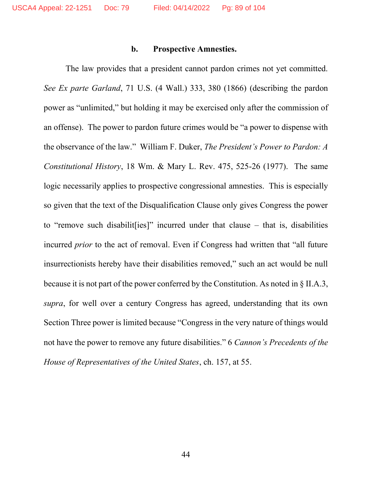## **b. Prospective Amnesties.**

The law provides that a president cannot pardon crimes not yet committed. *See Ex parte Garland*, 71 U.S. (4 Wall.) 333, 380 (1866) (describing the pardon power as "unlimited," but holding it may be exercised only after the commission of an offense). The power to pardon future crimes would be "a power to dispense with the observance of the law." William F. Duker, *The President's Power to Pardon: A Constitutional History*, 18 Wm. & Mary L. Rev. 475, 525-26 (1977). The same logic necessarily applies to prospective congressional amnesties. This is especially so given that the text of the Disqualification Clause only gives Congress the power to "remove such disabilit[ies]" incurred under that clause – that is, disabilities incurred *prior* to the act of removal. Even if Congress had written that "all future insurrectionists hereby have their disabilities removed," such an act would be null because it is not part of the power conferred by the Constitution. As noted in § II.A.3, *supra*, for well over a century Congress has agreed, understanding that its own Section Three power is limited because "Congress in the very nature of things would not have the power to remove any future disabilities." 6 *Cannon's Precedents of the House of Representatives of the United States*, ch. 157, at 55.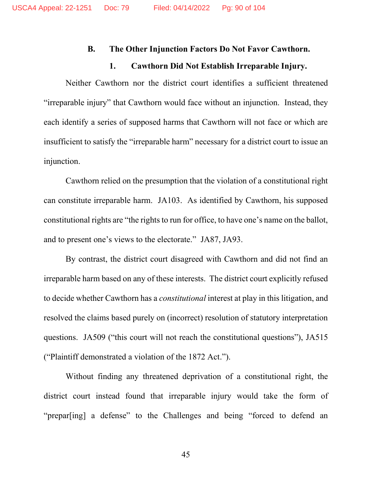#### **B. The Other Injunction Factors Do Not Favor Cawthorn.**

#### **1. Cawthorn Did Not Establish Irreparable Injury.**

Neither Cawthorn nor the district court identifies a sufficient threatened "irreparable injury" that Cawthorn would face without an injunction. Instead, they each identify a series of supposed harms that Cawthorn will not face or which are insufficient to satisfy the "irreparable harm" necessary for a district court to issue an injunction.

Cawthorn relied on the presumption that the violation of a constitutional right can constitute irreparable harm. JA103. As identified by Cawthorn, his supposed constitutional rights are "the rights to run for office, to have one's name on the ballot, and to present one's views to the electorate." JA87, JA93.

By contrast, the district court disagreed with Cawthorn and did not find an irreparable harm based on any of these interests. The district court explicitly refused to decide whether Cawthorn has a *constitutional* interest at play in this litigation, and resolved the claims based purely on (incorrect) resolution of statutory interpretation questions. JA509 ("this court will not reach the constitutional questions"), JA515 ("Plaintiff demonstrated a violation of the 1872 Act.").

Without finding any threatened deprivation of a constitutional right, the district court instead found that irreparable injury would take the form of "prepar[ing] a defense" to the Challenges and being "forced to defend an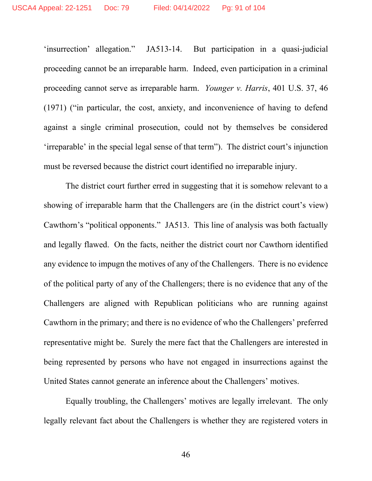'insurrection' allegation." JA513-14. But participation in a quasi-judicial proceeding cannot be an irreparable harm. Indeed, even participation in a criminal proceeding cannot serve as irreparable harm. *Younger v. Harris*, 401 U.S. 37, 46 (1971) ("in particular, the cost, anxiety, and inconvenience of having to defend against a single criminal prosecution, could not by themselves be considered 'irreparable' in the special legal sense of that term"). The district court's injunction must be reversed because the district court identified no irreparable injury.

The district court further erred in suggesting that it is somehow relevant to a showing of irreparable harm that the Challengers are (in the district court's view) Cawthorn's "political opponents." JA513. This line of analysis was both factually and legally flawed. On the facts, neither the district court nor Cawthorn identified any evidence to impugn the motives of any of the Challengers. There is no evidence of the political party of any of the Challengers; there is no evidence that any of the Challengers are aligned with Republican politicians who are running against Cawthorn in the primary; and there is no evidence of who the Challengers' preferred representative might be. Surely the mere fact that the Challengers are interested in being represented by persons who have not engaged in insurrections against the United States cannot generate an inference about the Challengers' motives.

Equally troubling, the Challengers' motives are legally irrelevant. The only legally relevant fact about the Challengers is whether they are registered voters in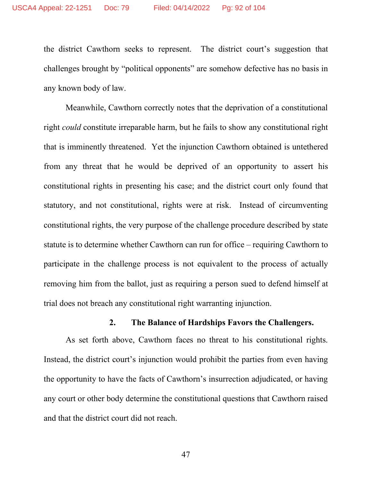the district Cawthorn seeks to represent. The district court's suggestion that challenges brought by "political opponents" are somehow defective has no basis in any known body of law.

Meanwhile, Cawthorn correctly notes that the deprivation of a constitutional right *could* constitute irreparable harm, but he fails to show any constitutional right that is imminently threatened. Yet the injunction Cawthorn obtained is untethered from any threat that he would be deprived of an opportunity to assert his constitutional rights in presenting his case; and the district court only found that statutory, and not constitutional, rights were at risk. Instead of circumventing constitutional rights, the very purpose of the challenge procedure described by state statute is to determine whether Cawthorn can run for office – requiring Cawthorn to participate in the challenge process is not equivalent to the process of actually removing him from the ballot, just as requiring a person sued to defend himself at trial does not breach any constitutional right warranting injunction.

### **2. The Balance of Hardships Favors the Challengers.**

As set forth above, Cawthorn faces no threat to his constitutional rights. Instead, the district court's injunction would prohibit the parties from even having the opportunity to have the facts of Cawthorn's insurrection adjudicated, or having any court or other body determine the constitutional questions that Cawthorn raised and that the district court did not reach.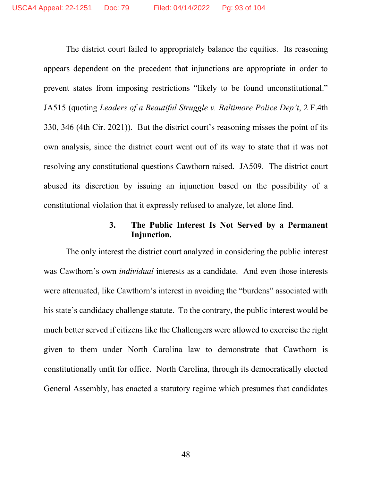The district court failed to appropriately balance the equities. Its reasoning appears dependent on the precedent that injunctions are appropriate in order to prevent states from imposing restrictions "likely to be found unconstitutional." JA515 (quoting *Leaders of a Beautiful Struggle v. Baltimore Police Dep't*, 2 F.4th 330, 346 (4th Cir. 2021)). But the district court's reasoning misses the point of its own analysis, since the district court went out of its way to state that it was not resolving any constitutional questions Cawthorn raised. JA509. The district court abused its discretion by issuing an injunction based on the possibility of a constitutional violation that it expressly refused to analyze, let alone find.

## **3. The Public Interest Is Not Served by a Permanent Injunction.**

The only interest the district court analyzed in considering the public interest was Cawthorn's own *individual* interests as a candidate. And even those interests were attenuated, like Cawthorn's interest in avoiding the "burdens" associated with his state's candidacy challenge statute. To the contrary, the public interest would be much better served if citizens like the Challengers were allowed to exercise the right given to them under North Carolina law to demonstrate that Cawthorn is constitutionally unfit for office. North Carolina, through its democratically elected General Assembly, has enacted a statutory regime which presumes that candidates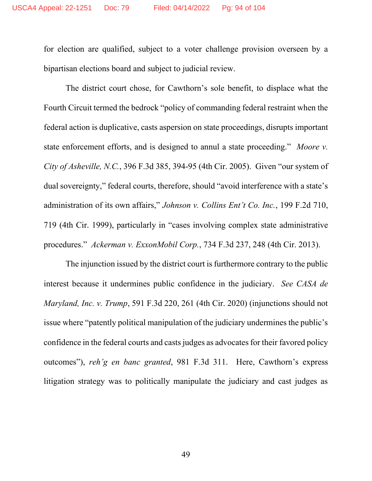for election are qualified, subject to a voter challenge provision overseen by a bipartisan elections board and subject to judicial review.

The district court chose, for Cawthorn's sole benefit, to displace what the Fourth Circuit termed the bedrock "policy of commanding federal restraint when the federal action is duplicative, casts aspersion on state proceedings, disrupts important state enforcement efforts, and is designed to annul a state proceeding." *Moore v. City of Asheville, N.C.*, 396 F.3d 385, 394-95 (4th Cir. 2005). Given "our system of dual sovereignty," federal courts, therefore, should "avoid interference with a state's administration of its own affairs," *Johnson v. Collins Ent't Co. Inc.*, 199 F.2d 710, 719 (4th Cir. 1999), particularly in "cases involving complex state administrative procedures." *Ackerman v. ExxonMobil Corp.*, 734 F.3d 237, 248 (4th Cir. 2013).

The injunction issued by the district court is furthermore contrary to the public interest because it undermines public confidence in the judiciary. *See CASA de Maryland, Inc. v. Trump*, 591 F.3d 220, 261 (4th Cir. 2020) (injunctions should not issue where "patently political manipulation of the judiciary undermines the public's confidence in the federal courts and casts judges as advocates for their favored policy outcomes"), *reh'g en banc granted*, 981 F.3d 311. Here, Cawthorn's express litigation strategy was to politically manipulate the judiciary and cast judges as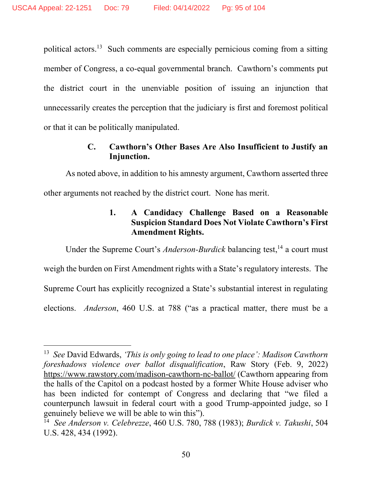political actors.<sup>13</sup> Such comments are especially pernicious coming from a sitting member of Congress, a co-equal governmental branch. Cawthorn's comments put the district court in the unenviable position of issuing an injunction that unnecessarily creates the perception that the judiciary is first and foremost political or that it can be politically manipulated.

# **C. Cawthorn's Other Bases Are Also Insufficient to Justify an Injunction.**

As noted above, in addition to his amnesty argument, Cawthorn asserted three other arguments not reached by the district court. None has merit.

# **1. A Candidacy Challenge Based on a Reasonable Suspicion Standard Does Not Violate Cawthorn's First Amendment Rights.**

Under the Supreme Court's *Anderson-Burdick* balancing test,<sup>14</sup> a court must weigh the burden on First Amendment rights with a State's regulatory interests. The Supreme Court has explicitly recognized a State's substantial interest in regulating elections. *Anderson*, 460 U.S. at 788 ("as a practical matter, there must be a

<sup>&</sup>lt;sup>13</sup> See David Edwards, *'This is only going to lead to one place': Madison Cawthorn foreshadows violence over ballot disqualification*, Raw Story (Feb. 9, 2022) <https://www.rawstory.com/madison-cawthorn-nc-ballot/> (Cawthorn appearing from the halls of the Capitol on a podcast hosted by a former White House adviser who has been indicted for contempt of Congress and declaring that "we filed a counterpunch lawsuit in federal court with a good Trump-appointed judge, so I genuinely believe we will be able to win this").

<sup>14</sup> *See Anderson v. Celebrezze*, 460 U.S. 780, 788 (1983); *Burdick v. Takushi*, 504 U.S. 428, 434 (1992).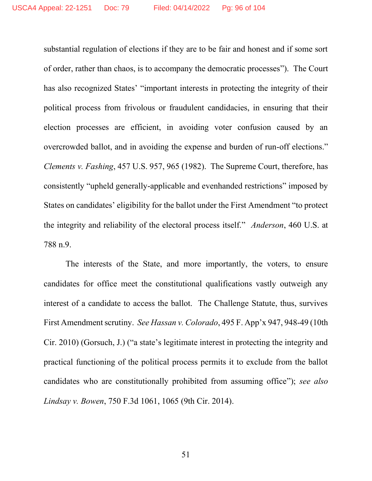substantial regulation of elections if they are to be fair and honest and if some sort of order, rather than chaos, is to accompany the democratic processes"). The Court has also recognized States' "important interests in protecting the integrity of their political process from frivolous or fraudulent candidacies, in ensuring that their election processes are efficient, in avoiding voter confusion caused by an overcrowded ballot, and in avoiding the expense and burden of run-off elections." *Clements v. Fashing*, 457 U.S. 957, 965 (1982). The Supreme Court, therefore, has consistently "upheld generally-applicable and evenhanded restrictions" imposed by States on candidates' eligibility for the ballot under the First Amendment "to protect the integrity and reliability of the electoral process itself." *Anderson*, 460 U.S. at 788 n.9.

The interests of the State, and more importantly, the voters, to ensure candidates for office meet the constitutional qualifications vastly outweigh any interest of a candidate to access the ballot. The Challenge Statute, thus, survives First Amendment scrutiny. *See Hassan v. Colorado*, 495 F. App'x 947, 948-49 (10th Cir. 2010) (Gorsuch, J.) ("a state's legitimate interest in protecting the integrity and practical functioning of the political process permits it to exclude from the ballot candidates who are constitutionally prohibited from assuming office"); *see also Lindsay v. Bowen*, 750 F.3d 1061, 1065 (9th Cir. 2014).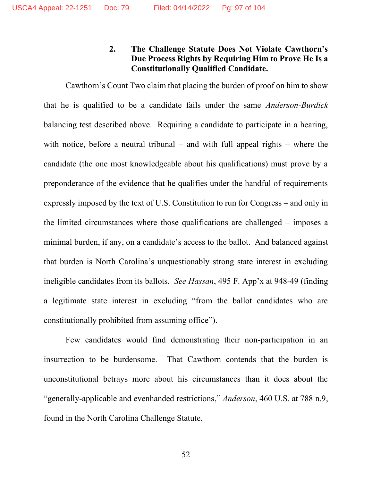# **2. The Challenge Statute Does Not Violate Cawthorn's Due Process Rights by Requiring Him to Prove He Is a Constitutionally Qualified Candidate.**

Cawthorn's Count Two claim that placing the burden of proof on him to show that he is qualified to be a candidate fails under the same *Anderson-Burdick*  balancing test described above. Requiring a candidate to participate in a hearing, with notice, before a neutral tribunal – and with full appeal rights – where the candidate (the one most knowledgeable about his qualifications) must prove by a preponderance of the evidence that he qualifies under the handful of requirements expressly imposed by the text of U.S. Constitution to run for Congress – and only in the limited circumstances where those qualifications are challenged – imposes a minimal burden, if any, on a candidate's access to the ballot. And balanced against that burden is North Carolina's unquestionably strong state interest in excluding ineligible candidates from its ballots. *See Hassan*, 495 F. App'x at 948-49 (finding a legitimate state interest in excluding "from the ballot candidates who are constitutionally prohibited from assuming office").

Few candidates would find demonstrating their non-participation in an insurrection to be burdensome. That Cawthorn contends that the burden is unconstitutional betrays more about his circumstances than it does about the "generally-applicable and evenhanded restrictions," *Anderson*, 460 U.S. at 788 n.9, found in the North Carolina Challenge Statute.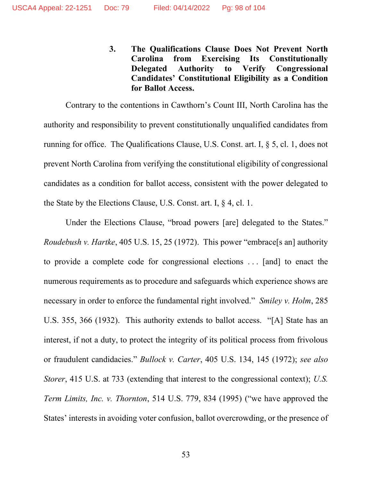**3. The Qualifications Clause Does Not Prevent North Carolina from Exercising Its Constitutionally Delegated Authority to Verify Congressional Candidates' Constitutional Eligibility as a Condition for Ballot Access.** 

Contrary to the contentions in Cawthorn's Count III, North Carolina has the authority and responsibility to prevent constitutionally unqualified candidates from running for office. The Qualifications Clause, U.S. Const. art. I, § 5, cl. 1, does not prevent North Carolina from verifying the constitutional eligibility of congressional candidates as a condition for ballot access, consistent with the power delegated to the State by the Elections Clause, U.S. Const. art. I, § 4, cl. 1.

Under the Elections Clause, "broad powers [are] delegated to the States." *Roudebush v. Hartke*, 405 U.S. 15, 25 (1972). This power "embrace<sup>[s an]</sup> authority to provide a complete code for congressional elections . . . [and] to enact the numerous requirements as to procedure and safeguards which experience shows are necessary in order to enforce the fundamental right involved." *Smiley v. Holm*, 285 U.S. 355, 366 (1932). This authority extends to ballot access. "[A] State has an interest, if not a duty, to protect the integrity of its political process from frivolous or fraudulent candidacies." *Bullock v. Carter*, 405 U.S. 134, 145 (1972); *see also Storer*, 415 U.S. at 733 (extending that interest to the congressional context); *U.S. Term Limits, Inc. v. Thornton*, 514 U.S. 779, 834 (1995) ("we have approved the States' interests in avoiding voter confusion, ballot overcrowding, or the presence of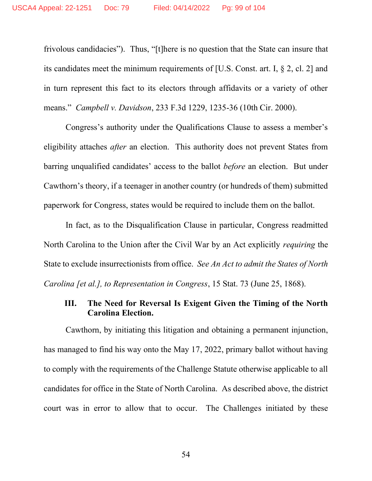frivolous candidacies"). Thus, "[t]here is no question that the State can insure that its candidates meet the minimum requirements of [U.S. Const. art. I, § 2, cl. 2] and in turn represent this fact to its electors through affidavits or a variety of other means." *Campbell v. Davidson*, 233 F.3d 1229, 1235-36 (10th Cir. 2000).

Congress's authority under the Qualifications Clause to assess a member's eligibility attaches *after* an election. This authority does not prevent States from barring unqualified candidates' access to the ballot *before* an election. But under Cawthorn's theory, if a teenager in another country (or hundreds of them) submitted paperwork for Congress, states would be required to include them on the ballot.

In fact, as to the Disqualification Clause in particular, Congress readmitted North Carolina to the Union after the Civil War by an Act explicitly *requiring* the State to exclude insurrectionists from office. *See An Act to admit the States of North Carolina [et al.], to Representation in Congress*, 15 Stat. 73 (June 25, 1868).

### **III. The Need for Reversal Is Exigent Given the Timing of the North Carolina Election.**

Cawthorn, by initiating this litigation and obtaining a permanent injunction, has managed to find his way onto the May 17, 2022, primary ballot without having to comply with the requirements of the Challenge Statute otherwise applicable to all candidates for office in the State of North Carolina. As described above, the district court was in error to allow that to occur. The Challenges initiated by these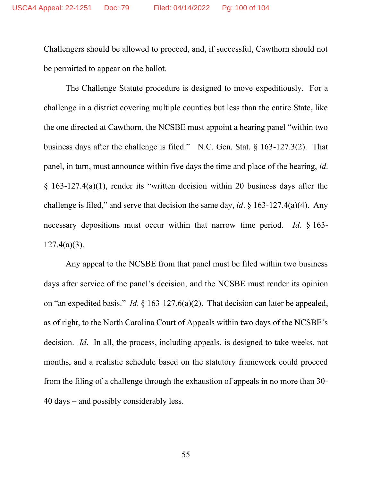Challengers should be allowed to proceed, and, if successful, Cawthorn should not be permitted to appear on the ballot.

The Challenge Statute procedure is designed to move expeditiously. For a challenge in a district covering multiple counties but less than the entire State, like the one directed at Cawthorn, the NCSBE must appoint a hearing panel "within two business days after the challenge is filed." N.C. Gen. Stat. § 163-127.3(2). That panel, in turn, must announce within five days the time and place of the hearing, *id*.  $§$  163-127.4(a)(1), render its "written decision within 20 business days after the challenge is filed," and serve that decision the same day, *id*. § 163-127.4(a)(4). Any necessary depositions must occur within that narrow time period. *Id*. § 163-  $127.4(a)(3)$ .

Any appeal to the NCSBE from that panel must be filed within two business days after service of the panel's decision, and the NCSBE must render its opinion on "an expedited basis." *Id*. § 163-127.6(a)(2). That decision can later be appealed, as of right, to the North Carolina Court of Appeals within two days of the NCSBE's decision. *Id*. In all, the process, including appeals, is designed to take weeks, not months, and a realistic schedule based on the statutory framework could proceed from the filing of a challenge through the exhaustion of appeals in no more than 30- 40 days – and possibly considerably less.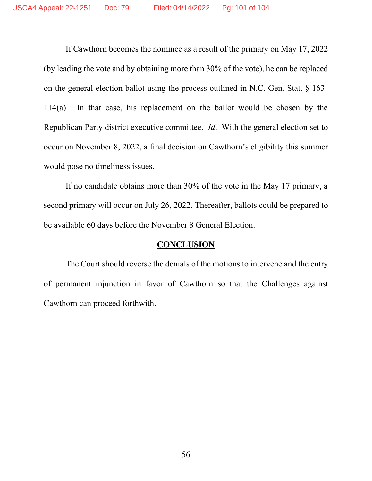If Cawthorn becomes the nominee as a result of the primary on May 17, 2022 (by leading the vote and by obtaining more than 30% of the vote), he can be replaced on the general election ballot using the process outlined in N.C. Gen. Stat. § 163- 114(a). In that case, his replacement on the ballot would be chosen by the Republican Party district executive committee. *Id*. With the general election set to occur on November 8, 2022, a final decision on Cawthorn's eligibility this summer would pose no timeliness issues.

If no candidate obtains more than 30% of the vote in the May 17 primary, a second primary will occur on July 26, 2022. Thereafter, ballots could be prepared to be available 60 days before the November 8 General Election.

### **CONCLUSION**

The Court should reverse the denials of the motions to intervene and the entry of permanent injunction in favor of Cawthorn so that the Challenges against Cawthorn can proceed forthwith.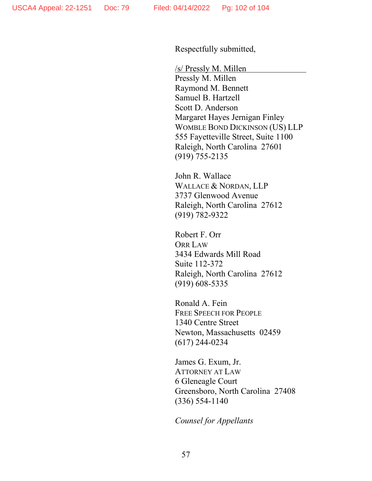Respectfully submitted,

/s/ Pressly M. Millen Pressly M. Millen Raymond M. Bennett Samuel B. Hartzell Scott D. Anderson Margaret Hayes Jernigan Finley WOMBLE BOND DICKINSON (US) LLP 555 Fayetteville Street, Suite 1100 Raleigh, North Carolina 27601 (919) 755-2135

John R. Wallace WALLACE & NORDAN, LLP 3737 Glenwood Avenue Raleigh, North Carolina 27612 (919) 782-9322

Robert F. Orr ORR LAW 3434 Edwards Mill Road Suite 112-372 Raleigh, North Carolina 27612 (919) 608-5335

Ronald A. Fein FREE SPEECH FOR PEOPLE 1340 Centre Street Newton, Massachusetts 02459 (617) 244-0234

James G. Exum, Jr. ATTORNEY AT LAW 6 Gleneagle Court Greensboro, North Carolina 27408 (336) 554-1140

*Counsel for Appellants*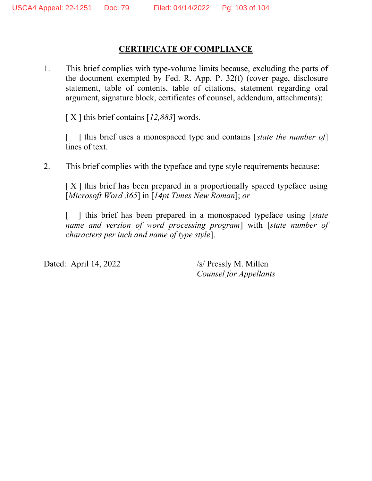# **CERTIFICATE OF COMPLIANCE**

1. This brief complies with type-volume limits because, excluding the parts of the document exempted by Fed. R. App. P. 32(f) (cover page, disclosure statement, table of contents, table of citations, statement regarding oral argument, signature block, certificates of counsel, addendum, attachments):

[ X ] this brief contains [*12,883*] words.

[ ] this brief uses a monospaced type and contains [*state the number of*] lines of text.

2. This brief complies with the typeface and type style requirements because:

 $[X]$  this brief has been prepared in a proportionally spaced typeface using [*Microsoft Word 365*] in [*14pt Times New Roman*]; *or*

[ ] this brief has been prepared in a monospaced typeface using [*state*] *name and version of word processing program*] with [*state number of characters per inch and name of type style*].

Dated: April 14, 2022 /s/ Pressly M. Millen

*Counsel for Appellants*